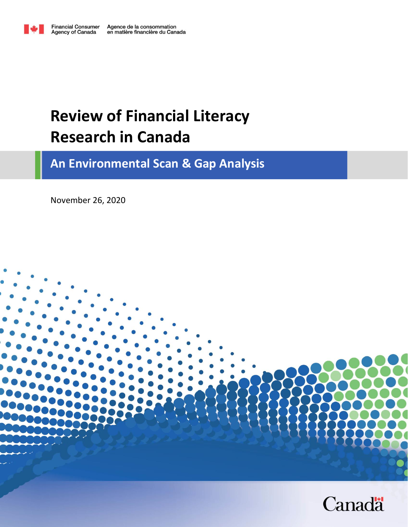

# **Review of Financial Literacy Research in Canada**

**An Environmental Scan & Gap Analysis**

November 26, 2020

<span id="page-0-0"></span>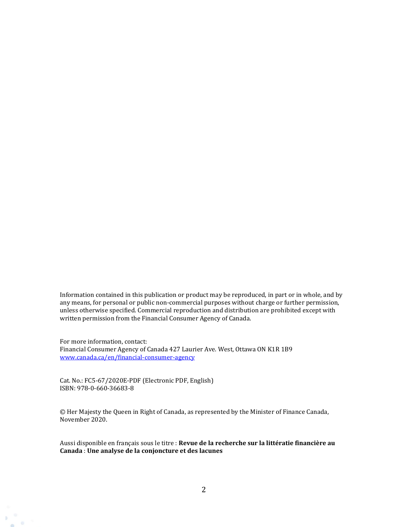Information contained in this publication or product may be reproduced, in part or in whole, and by any means, for personal or public non-commercial purposes without charge or further permission, unless otherwise specified. Commercial reproduction and distribution are prohibited except with written permission from the Financial Consumer Agency of Canada.

For more information, contact: Financial Consumer Agency of Canada 427 Laurier Ave. West, Ottawa ON K1R 1B9 [www.canada.ca/en/financial-consumer-agency](http://www.canada.ca/en/financial-consumer-agency)

Cat. No.: FC5-67/2020E-PDF (Electronic PDF, English) ISBN: 978-0-660-36683-8

D  $65$ 

© Her Majesty the Queen in Right of Canada, as represented by the Minister of Finance Canada, November 2020.

Aussi disponible en français sous le titre : **Revue de la recherche sur la littératie financière au Canada** : **Une analyse de la conjoncture et des lacunes**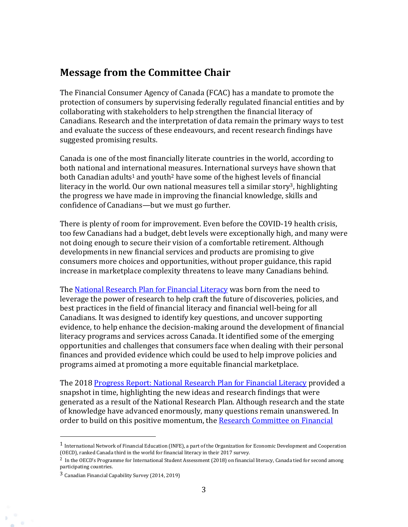### **Message from the Committee Chair**

The Financial Consumer Agency of Canada (FCAC) has a mandate to promote the protection of consumers by supervising federally regulated financial entities and by collaborating with stakeholders to help strengthen the financial literacy of Canadians. Research and the interpretation of data remain the primary ways to test and evaluate the success of these endeavours, and recent research findings have suggested promising results.

Canada is one of the most financially literate countries in the world, according to both national and international measures. International surveys have shown that both Canadian adults<sup>1</sup> and youth<sup>2</sup> have some of the highest levels of financial literacy in the world. Our own national measures tell a similar story<sup>3</sup>, highlighting the progress we have made in improving the financial knowledge, skills and confidence of Canadians—but we must go further.

There is plenty of room for improvement. Even before the COVID-19 health crisis, too few Canadians had a budget, debt levels were exceptionally high, and many were not doing enough to secure their vision of a comfortable retirement. Although developments in new financial services and products are promising to give consumers more choices and opportunities, without proper guidance, this rapid increase in marketplace complexity threatens to leave many Canadians behind.

The [National Research Plan for Financial Literacy](https://www.canada.ca/en/financial-consumer-agency/programs/research/national-research-plan-2016-2018.html) was born from the need to leverage the power of research to help craft the future of discoveries, policies, and best practices in the field of financial literacy and financial well-being for all Canadians. It was designed to identify key questions, and uncover supporting evidence, to help enhance the decision-making around the development of financial literacy programs and services across Canada. It identified some of the emerging opportunities and challenges that consumers face when dealing with their personal finances and provided evidence which could be used to help improve policies and programs aimed at promoting a more equitable financial marketplace.

The 2018 [Progress Report: National Research Plan for Financial Literacy](https://www.canada.ca/en/financial-consumer-agency/programs/research/progress-report-national-research-plan-2016-2018.html) provided a snapshot in time, highlighting the new ideas and research findings that were generated as a result of the National Research Plan. Although research and the state of knowledge have advanced enormously, many questions remain unanswered. In order to build on this positive momentum, the Research Committee on Financial

<sup>1</sup> International Network of Financial Education (INFE), a part of the Organization for Economic Development and Cooperation (OECD), ranked Canada third in the world for financial literacy in their 2017 survey.

<sup>2</sup> In the OECD's Programme for International Student Assessment (2018) on financial literacy, Canada tied for second among participating countries.

<sup>3</sup> Canadian Financial Capability Survey (2014, 2019)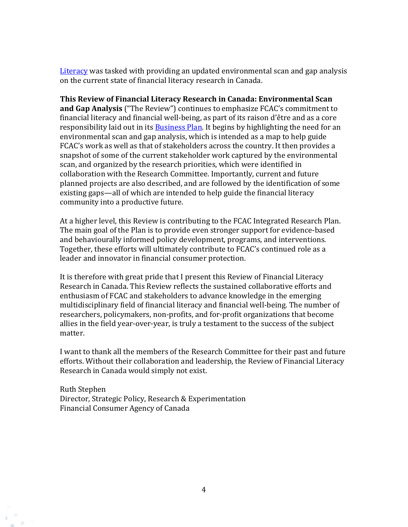[Literacy](https://www.canada.ca/en/financial-consumer-agency/news/2018/06/fcac-announces-national-financial-literacy-research-sub-committee.html) was tasked with providing an updated environmental scan and gap analysis on the current state of financial literacy research in Canada.

**This Review of Financial Literacy Research in Canada: Environmental Scan and Gap Analysis** ("The Review") continues to emphasize FCAC's commitment to financial literacy and financial well-being, as part of its raison d'être and as a core responsibility laid out in its **Business Plan**. It begins by highlighting the need for an environmental scan and gap analysis, which is intended as a map to help guide FCAC's work as well as that of stakeholders across the country. It then provides a snapshot of some of the current stakeholder work captured by the environmental scan, and organized by the research priorities, which were identified in collaboration with the Research Committee. Importantly, current and future planned projects are also described, and are followed by the identification of some existing gaps—all of which are intended to help guide the financial literacy community into a productive future.

At a higher level, this Review is contributing to the FCAC Integrated Research Plan. The main goal of the Plan is to provide even stronger support for evidence-based and behaviourally informed policy development, programs, and interventions. Together, these efforts will ultimately contribute to FCAC's continued role as a leader and innovator in financial consumer protection.

It is therefore with great pride that I present this Review of Financial Literacy Research in Canada. This Review reflects the sustained collaborative efforts and enthusiasm of FCAC and stakeholders to advance knowledge in the emerging multidisciplinary field of financial literacy and financial well-being. The number of researchers, policymakers, non-profits, and for-profit organizations that become allies in the field year-over-year, is truly a testament to the success of the subject matter.

I want to thank all the members of the Research Committee for their past and future efforts. Without their collaboration and leadership, the Review of Financial Literacy Research in Canada would simply not exist.

Ruth Stephen Director, Strategic Policy, Research & Experimentation Financial Consumer Agency of Canada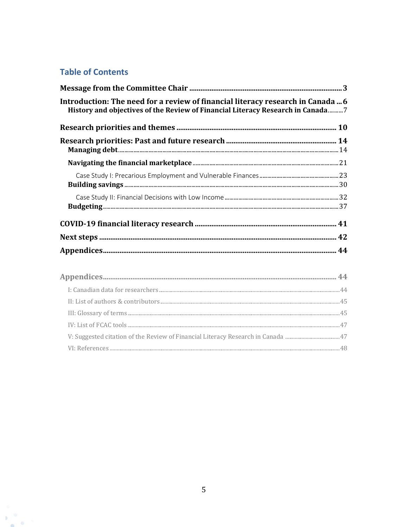### **Table of Contents**

 $\mathbf{b}_1$ 

 $\Theta$ **COLLECTION** 

| Introduction: The need for a review of financial literacy research in Canada  6<br>History and objectives of the Review of Financial Literacy Research in Canada7 |  |
|-------------------------------------------------------------------------------------------------------------------------------------------------------------------|--|
|                                                                                                                                                                   |  |
|                                                                                                                                                                   |  |
|                                                                                                                                                                   |  |
|                                                                                                                                                                   |  |
|                                                                                                                                                                   |  |
|                                                                                                                                                                   |  |
|                                                                                                                                                                   |  |
|                                                                                                                                                                   |  |
|                                                                                                                                                                   |  |
|                                                                                                                                                                   |  |
|                                                                                                                                                                   |  |
|                                                                                                                                                                   |  |
|                                                                                                                                                                   |  |

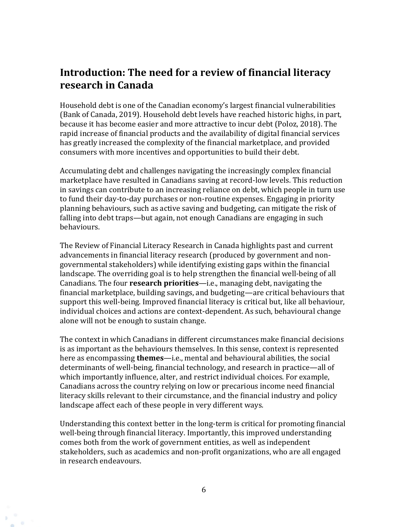# <span id="page-5-0"></span>**Introduction: The need for a review of financial literacy research in Canada**

Household debt is one of the Canadian economy's largest financial vulnerabilities (Bank of Canada, 2019). Household debt levels have reached historic highs, in part, because it has become easier and more attractive to incur debt (Poloz, 2018). The rapid increase of financial products and the availability of digital financial services has greatly increased the complexity of the financial marketplace, and provided consumers with more incentives and opportunities to build their debt.

Accumulating debt and challenges navigating the increasingly complex financial marketplace have resulted in Canadians saving at record-low levels. This reduction in savings can contribute to an increasing reliance on debt, which people in turn use to fund their day-to-day purchases or non-routine expenses. Engaging in priority planning behaviours, such as active saving and budgeting, can mitigate the risk of falling into debt traps—but again, not enough Canadians are engaging in such behaviours.

The Review of Financial Literacy Research in Canada highlights past and current advancements in financial literacy research (produced by government and nongovernmental stakeholders) while identifying existing gaps within the financial landscape. The overriding goal is to help strengthen the financial well-being of all Canadians. The four **research priorities**—i.e., managing debt, navigating the financial marketplace, building savings, and budgeting—are critical behaviours that support this well-being. Improved financial literacy is critical but, like all behaviour, individual choices and actions are context-dependent. As such, behavioural change alone will not be enough to sustain change.

The context in which Canadians in different circumstances make financial decisions is as important as the behaviours themselves. In this sense, context is represented here as encompassing **themes**—i.e., mental and behavioural abilities, the social determinants of well-being, financial technology, and research in practice—all of which importantly influence, alter, and restrict individual choices. For example, Canadians across the country relying on low or precarious income need financial literacy skills relevant to their circumstance, and the financial industry and policy landscape affect each of these people in very different ways.

Understanding this context better in the long-term is critical for promoting financial well-being through financial literacy. Importantly, this improved understanding comes both from the work of government entities, as well as independent stakeholders, such as academics and non-profit organizations, who are all engaged in research endeavours.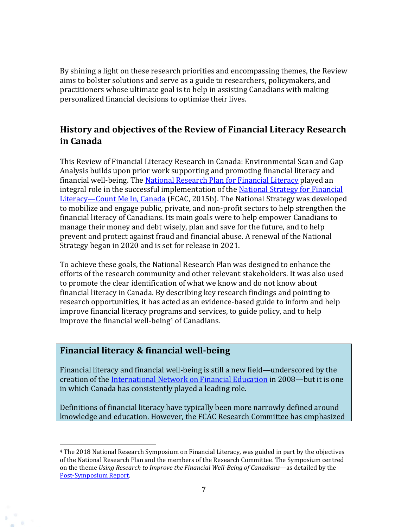By shining a light on these research priorities and encompassing themes, the Review aims to bolster solutions and serve as a guide to researchers, policymakers, and practitioners whose ultimate goal is to help in assisting Canadians with making personalized financial decisions to optimize their lives.

### <span id="page-6-0"></span>**History and objectives of the Review of Financial Literacy Research in Canada**

This Review of Financial Literacy Research in Canada: Environmental Scan and Gap Analysis builds upon prior work supporting and promoting financial literacy and financial well-being. The [National Research Plan](https://www.canada.ca/en/financial-consumer-agency/programs/research/national-research-plan-2016-2018.html) for Financial Literacy played an integral role in the successful implementation of the [National Strategy for Financial](https://www.canada.ca/en/financial-consumer-agency/programs/financial-literacy/financial-literacy-strategy.html)  Literacy—[Count Me In, Canada](https://www.canada.ca/en/financial-consumer-agency/programs/financial-literacy/financial-literacy-strategy.html) (FCAC, 2015b). The National Strategy was developed to mobilize and engage public, private, and non-profit sectors to help strengthen the financial literacy of Canadians. Its main goals were to help empower Canadians to manage their money and debt wisely, plan and save for the future, and to help prevent and protect against fraud and financial abuse. A renewal of the National Strategy began in 2020 and is set for release in 2021.

To achieve these goals, the National Research Plan was designed to enhance the efforts of the research community and other relevant stakeholders. It was also used to promote the clear identification of what we know and do not know about financial literacy in Canada. By describing key research findings and pointing to research opportunities, it has acted as an evidence-based guide to inform and help improve financial literacy programs and services, to guide policy, and to help improve the financial well-being $4$  of Canadians.

### **Financial literacy & financial well-being**

Financial literacy and financial well-being is still a new field—underscored by the creation of the [International Network on Financial Education](http://www.oecd.org/finance/financial-education/) in 2008—but it is one in which Canada has consistently played a leading role.

Definitions of financial literacy have typically been more narrowly defined around knowledge and education. However, the FCAC Research Committee has emphasized

<sup>4</sup> The 2018 National Research Symposium on Financial Literacy, was guided in part by the objectives of the National Research Plan and the members of the Research Committee. The Symposium centred on the theme *Using Research to Improve the Financial Well-Being of Canadians*—as detailed by the [Post-Symposium Report.](https://www.canada.ca/en/financial-consumer-agency/programs/research/post-symposium-research-report-financial-well-being-canadians.html)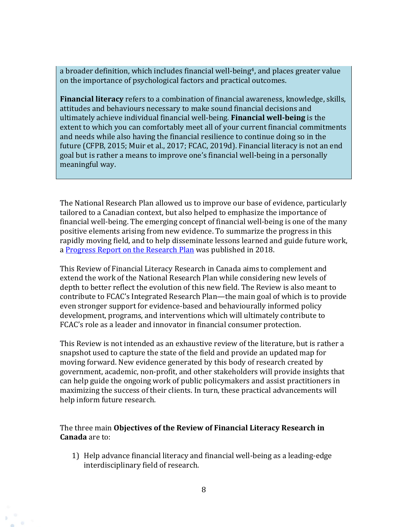a broader definition, which includes financial well-being<sup>4</sup>, and places greater value on the importance of psychological factors and practical outcomes.

**Financial literacy** refers to a combination of financial awareness, knowledge, skills, attitudes and behaviours necessary to make sound financial decisions and ultimately achieve individual financial well-being. **Financial well-being** is the extent to which you can comfortably meet all of your current financial commitments and needs while also having the financial resilience to continue doing so in the future (CFPB, 2015; Muir et al., 2017; FCAC, 2019d). Financial literacy is not an end goal but is rather a means to improve one's financial well-being in a personally meaningful way.

The National Research Plan allowed us to improve our base of evidence, particularly tailored to a Canadian context, but also helped to emphasize the importance of financial well-being. The emerging concept of financial well-being is one of the many positive elements arising from new evidence. To summarize the progress in this rapidly moving field, and to help disseminate lessons learned and guide future work, a [Progress Report on the Research Plan](https://www.canada.ca/en/financial-consumer-agency/programs/research/progress-report-national-research-plan-2016-2018.html) was published in 2018.

This Review of Financial Literacy Research in Canada aims to complement and extend the work of the National Research Plan while considering new levels of depth to better reflect the evolution of this new field. The Review is also meant to contribute to FCAC's Integrated Research Plan—the main goal of which is to provide even stronger support for evidence-based and behaviourally informed policy development, programs, and interventions which will ultimately contribute to FCAC's role as a leader and innovator in financial consumer protection.

This Review is not intended as an exhaustive review of the literature, but is rather a snapshot used to capture the state of the field and provide an updated map for moving forward. New evidence generated by this body of research created by government, academic, non-profit, and other stakeholders will provide insights that can help guide the ongoing work of public policymakers and assist practitioners in maximizing the success of their clients. In turn, these practical advancements will help inform future research.

The three main **Objectives of the Review of Financial Literacy Research in Canada** are to:

1) Help advance financial literacy and financial well-being as a leading-edge interdisciplinary field of research.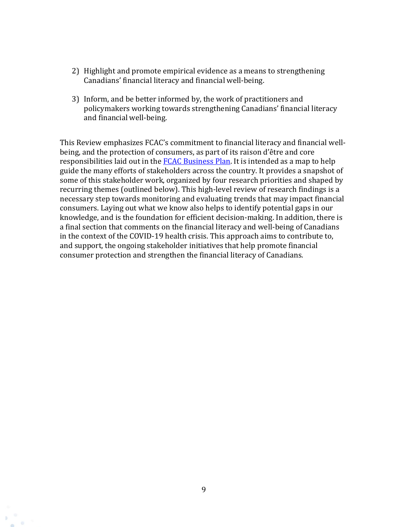- 2) Highlight and promote empirical evidence as a means to strengthening Canadians' financial literacy and financial well-being.
- 3) Inform, and be better informed by, the work of practitioners and policymakers working towards strengthening Canadians' financial literacy and financial well-being.

This Review emphasizes FCAC's commitment to financial literacy and financial wellbeing, and the protection of consumers, as part of its raison d'être and core responsibilities laid out in the **FCAC Business Plan**. It is intended as a map to help guide the many efforts of stakeholders across the country. It provides a snapshot of some of this stakeholder work, organized by four research priorities and shaped by recurring themes (outlined below). This high-level review of research findings is a necessary step towards monitoring and evaluating trends that may impact financial consumers. Laying out what we know also helps to identify potential gaps in our knowledge, and is the foundation for efficient decision-making. In addition, there is a final section that comments on the financial literacy and well-being of Canadians in the context of the COVID-19 health crisis. This approach aims to contribute to, and support, the ongoing stakeholder initiatives that help promote financial consumer protection and strengthen the financial literacy of Canadians.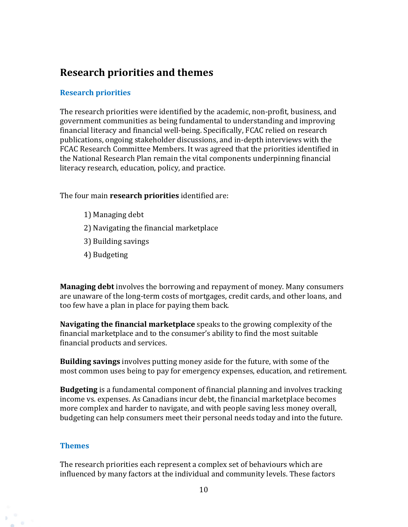# <span id="page-9-0"></span>**Research priorities and themes**

#### **Research priorities**

The research priorities were identified by the academic, non-profit, business, and government communities as being fundamental to understanding and improving financial literacy and financial well-being. Specifically, FCAC relied on research publications, ongoing stakeholder discussions, and in-depth interviews with the FCAC Research Committee Members. It was agreed that the priorities identified in the National Research Plan remain the vital components underpinning financial literacy research, education, policy, and practice.

The four main **research priorities** identified are:

- 1) Managing debt
- 2) Navigating the financial marketplace
- 3) Building savings
- 4) Budgeting

**Managing debt** involves the borrowing and repayment of money. Many consumers are unaware of the long-term costs of mortgages, credit cards, and other loans, and too few have a plan in place for paying them back.

**Navigating the financial marketplace** speaks to the growing complexity of the financial marketplace and to the consumer's ability to find the most suitable financial products and services.

**Building savings** involves putting money aside for the future, with some of the most common uses being to pay for emergency expenses, education, and retirement.

**Budgeting** is a fundamental component of financial planning and involves tracking income vs. expenses. As Canadians incur debt, the financial marketplace becomes more complex and harder to navigate, and with people saving less money overall, budgeting can help consumers meet their personal needs today and into the future.

#### **Themes**

The research priorities each represent a complex set of behaviours which are influenced by many factors at the individual and community levels. These factors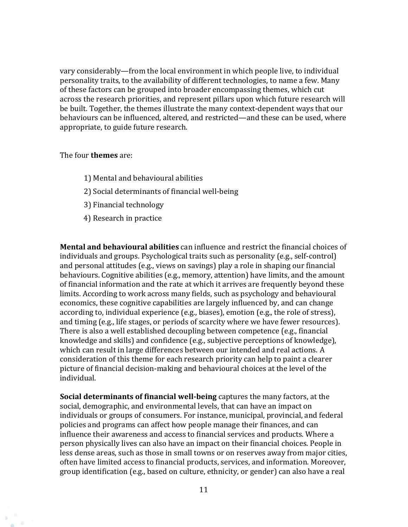vary considerably—from the local environment in which people live, to individual personality traits, to the availability of different technologies, to name a few. Many of these factors can be grouped into broader encompassing themes, which cut across the research priorities, and represent pillars upon which future research will be built. Together, the themes illustrate the many context-dependent ways that our behaviours can be influenced, altered, and restricted—and these can be used, where appropriate, to guide future research.

The four **themes** are:

- 1) Mental and behavioural abilities
- 2) Social determinants of financial well-being
- 3) Financial technology
- 4) Research in practice

**Mental and behavioural abilities** can influence and restrict the financial choices of individuals and groups. Psychological traits such as personality (e.g., self-control) and personal attitudes (e.g., views on savings) play a role in shaping our financial behaviours. Cognitive abilities (e.g., memory, attention) have limits, and the amount of financial information and the rate at which it arrives are frequently beyond these limits. According to work across many fields, such as psychology and behavioural economics, these cognitive capabilities are largely influenced by, and can change according to, individual experience (e.g., biases), emotion (e.g., the role of stress), and timing (e.g., life stages, or periods of scarcity where we have fewer resources). There is also a well established decoupling between competence (e.g., financial knowledge and skills) and confidence (e.g., subjective perceptions of knowledge), which can result in large differences between our intended and real actions. A consideration of this theme for each research priority can help to paint a clearer picture of financial decision-making and behavioural choices at the level of the individual.

**Social determinants of financial well-being** captures the many factors, at the social, demographic, and environmental levels, that can have an impact on individuals or groups of consumers. For instance, municipal, provincial, and federal policies and programs can affect how people manage their finances, and can influence their awareness and access to financial services and products. Where a person physically lives can also have an impact on their financial choices. People in less dense areas, such as those in small towns or on reserves away from major cities, often have limited access to financial products, services, and information. Moreover, group identification (e.g., based on culture, ethnicity, or gender) can also have a real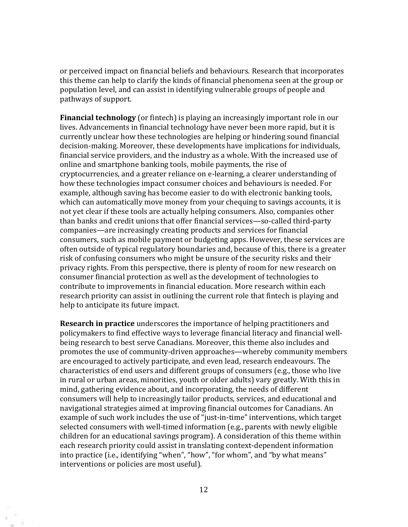or perceived impact on financial beliefs and behaviours. Research that incorporates this theme can help to clarify the kinds of financial phenomena seen at the group or population level, and can assist in identifying vulnerable groups of people and pathways of support.

**Financial technology** (or fintech) is playing an increasingly important role in our lives. Advancements in financial technology have never been more rapid, but it is currently unclear how these technologies are helping or hindering sound financial decision-making. Moreover, these developments have implications for individuals, financial service providers, and the industry as a whole. With the increased use of online and smartphone banking tools, mobile payments, the rise of cryptocurrencies, and a greater reliance on e-learning, a clearer understanding of how these technologies impact consumer choices and behaviours is needed. For example, although saving has become easier to do with electronic banking tools, which can automatically move money from your chequing to savings accounts, it is not yet clear if these tools are actually helping consumers. Also, companies other than banks and credit unions that offer financial services—so-called third-party companies—are increasingly creating products and services for financial consumers, such as mobile payment or budgeting apps. However, these services are often outside of typical regulatory boundaries and, because of this, there is a greater risk of confusing consumers who might be unsure of the security risks and their privacy rights. From this perspective, there is plenty of room for new research on consumer financial protection as well as the development of technologies to contribute to improvements in financial education. More research within each research priority can assist in outlining the current role that fintech is playing and help to anticipate its future impact.

**Research in practice** underscores the importance of helping practitioners and policymakers to find effective ways to leverage financial literacy and financial wellbeing research to best serve Canadians. Moreover, this theme also includes and promotes the use of community-driven approaches—whereby community members are encouraged to actively participate, and even lead, research endeavours. The characteristics of end users and different groups of consumers (e.g., those who live in rural or urban areas, minorities, youth or older adults) vary greatly. With this in mind, gathering evidence about, and incorporating, the needs of different consumers will help to increasingly tailor products, services, and educational and navigational strategies aimed at improving financial outcomes for Canadians. An example of such work includes the use of "just-in-time" interventions, which target selected consumers with well-timed information (e.g., parents with newly eligible children for an educational savings program). A consideration of this theme within each research priority could assist in translating context-dependent information into practice (i.e., identifying "when", "how", "for whom", and "by what means" interventions or policies are most useful).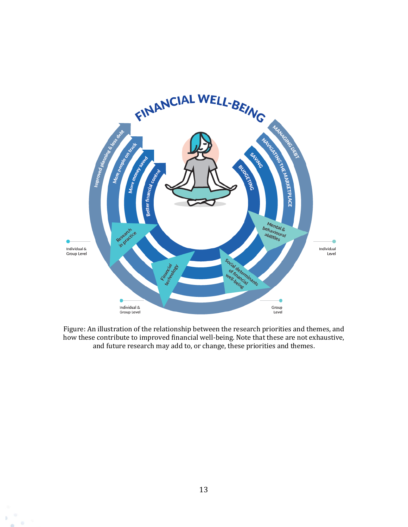

Figure: An illustration of the relationship between the research priorities and themes, and how these contribute to improved financial well-being. Note that these are not exhaustive, and future research may add to, or change, these priorities and themes.

Đ. do.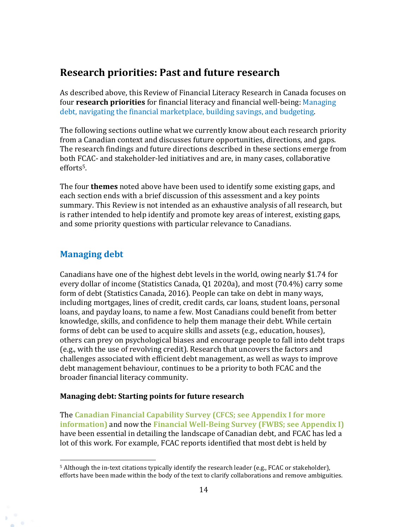# <span id="page-13-0"></span>**Research priorities: Past and future research**

As described above, this Review of Financial Literacy Research in Canada focuses on four **research priorities** for financial literacy and financial well-being: Managing debt, navigating the financial marketplace, building savings, and budgeting.

The following sections outline what we currently know about each research priority from a Canadian context and discusses future opportunities, directions, and gaps. The research findings and future directions described in these sections emerge from both FCAC- and stakeholder-led initiatives and are, in many cases, collaborative efforts5.

The four **themes** noted above have been used to identify some existing gaps, and each section ends with a brief discussion of this assessment and a key points summary. This Review is not intended as an exhaustive analysis of all research, but is rather intended to help identify and promote key areas of interest, existing gaps, and some priority questions with particular relevance to Canadians.

### <span id="page-13-1"></span>**Managing debt**

Canadians have one of the highest debt levels in the world, owing nearly \$1.74 for every dollar of income (Statistics Canada, Q1 2020a), and most (70.4%) carry some form of debt (Statistics Canada, 2016). People can take on debt in many ways, including mortgages, lines of credit, credit cards, car loans, student loans, personal loans, and payday loans, to name a few. Most Canadians could benefit from better knowledge, skills, and confidence to help them manage their debt. While certain forms of debt can be used to acquire skills and assets (e.g., education, houses), others can prey on psychological biases and encourage people to fall into debt traps (e.g., with the use of revolving credit). Research that uncovers the factors and challenges associated with efficient debt management, as well as ways to improve debt management behaviour, continues to be a priority to both FCAC and the broader financial literacy community.

#### **Managing debt: Starting points for future research**

The **Canadian Financial Capability Survey (CFCS; see Appendix I for more information)** and now the **Financial Well-Being Survey (FWBS; see Appendix I)**  have been essential in detailing the landscape of Canadian debt, and FCAC has led a lot of this work. For example, FCAC reports identified that most debt is held by

<sup>5</sup> Although the in-text citations typically identify the research leader (e.g., FCAC or stakeholder), efforts have been made within the body of the text to clarify collaborations and remove ambiguities.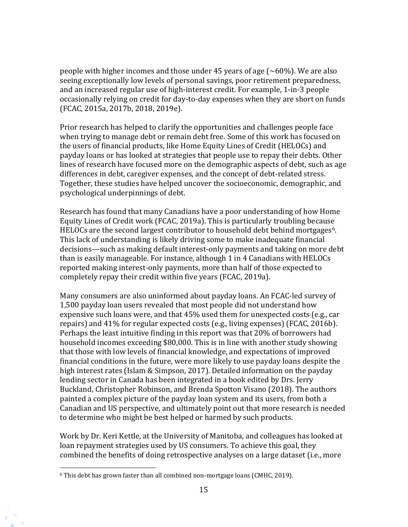people with higher incomes and those under 45 years of age  $(\sim 60\%)$ . We are also seeing exceptionally low levels of personal savings, poor retirement preparedness, and an increased regular use of high-interest credit. For example, 1-in-3 people occasionally relying on credit for day-to-day expenses when they are short on funds (FCAC, 2015a, 2017b, 2018, 2019e).

Prior research has helped to clarify the opportunities and challenges people face when trying to manage debt or remain debt free. Some of this work has focused on the users of financial products, like Home Equity Lines of Credit (HELOCs) and payday loans or has looked at strategies that people use to repay their debts. Other lines of research have focused more on the demographic aspects of debt, such as age differences in debt, caregiver expenses, and the concept of debt-related stress. Together, these studies have helped uncover the socioeconomic, demographic, and psychological underpinnings of debt.

Research has found that many Canadians have a poor understanding of how Home Equity Lines of Credit work (FCAC, 2019a). This is particularly troubling because HELOCs are the second largest contributor to household debt behind mortgages<sup>6</sup>. This lack of understanding is likely driving some to make inadequate financial decisions—such as making default interest-only payments and taking on more debt than is easily manageable. For instance, although 1 in 4 Canadians with HELOCs reported making interest-only payments, more than half of those expected to completely repay their credit within five years (FCAC, 2019a).

Many consumers are also uninformed about payday loans. An FCAC-led survey of 1,500 payday loan users revealed that most people did not understand how expensive such loans were, and that 45% used them for unexpected costs (e.g., car repairs) and 41% for regular expected costs (e.g., living expenses) (FCAC, 2016b). Perhaps the least intuitive finding in this report was that 20% of borrowers had household incomes exceeding \$80,000. This is in line with another study showing that those with low levels of financial knowledge, and expectations of improved financial conditions in the future, were more likely to use payday loans despite the high interest rates (Islam & Simpson, 2017). Detailed information on the payday lending sector in Canada has been integrated in a book edited by Drs. Jerry Buckland, Christopher Robinson, and Brenda Spotton Visano (2018). The authors painted a complex picture of the payday loan system and its users, from both a Canadian and US perspective, and ultimately point out that more research is needed to determine who might be best helped or harmed by such products.

Work by Dr. Keri Kettle, at the University of Manitoba, and colleagues has looked at loan repayment strategies used by US consumers. To achieve this goal, they combined the benefits of doing retrospective analyses on a large dataset (i.e., more

<sup>6</sup> This debt has grown faster than all combined non-mortgage loans (CMHC, 2019).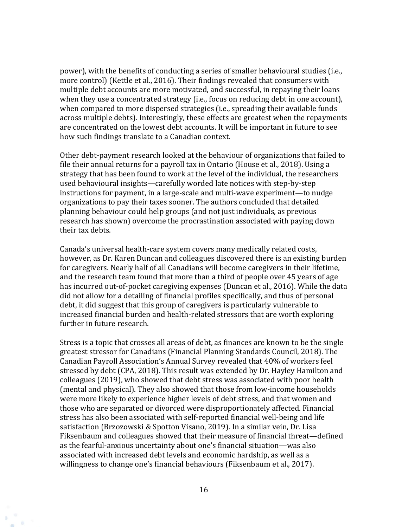power), with the benefits of conducting a series of smaller behavioural studies (i.e., more control) (Kettle et al., 2016). Their findings revealed that consumers with multiple debt accounts are more motivated, and successful, in repaying their loans when they use a concentrated strategy (i.e., focus on reducing debt in one account), when compared to more dispersed strategies (i.e., spreading their available funds across multiple debts). Interestingly, these effects are greatest when the repayments are concentrated on the lowest debt accounts. It will be important in future to see how such findings translate to a Canadian context.

Other debt-payment research looked at the behaviour of organizations that failed to file their annual returns for a payroll tax in Ontario (House et al., 2018). Using a strategy that has been found to work at the level of the individual, the researchers used behavioural insights—carefully worded late notices with step-by-step instructions for payment, in a large-scale and multi-wave experiment—to nudge organizations to pay their taxes sooner. The authors concluded that detailed planning behaviour could help groups (and not just individuals, as previous research has shown) overcome the procrastination associated with paying down their tax debts.

Canada's universal health-care system covers many medically related costs, however, as Dr. Karen Duncan and colleagues discovered there is an existing burden for caregivers. Nearly half of all Canadians will become caregivers in their lifetime, and the research team found that more than a third of people over 45 years of age has incurred out-of-pocket caregiving expenses (Duncan et al., 2016). While the data did not allow for a detailing of financial profiles specifically, and thus of personal debt, it did suggest that this group of caregivers is particularly vulnerable to increased financial burden and health-related stressors that are worth exploring further in future research.

Stress is a topic that crosses all areas of debt, as finances are known to be the single greatest stressor for Canadians (Financial Planning Standards Council, 2018). The Canadian Payroll Association's Annual Survey revealed that 40% of workers feel stressed by debt (CPA, 2018). This result was extended by Dr. Hayley Hamilton and colleagues (2019), who showed that debt stress was associated with poor health (mental and physical). They also showed that those from low-income households were more likely to experience higher levels of debt stress, and that women and those who are separated or divorced were disproportionately affected. Financial stress has also been associated with self-reported financial well-being and life satisfaction (Brzozowski & Spotton Visano, 2019). In a similar vein, Dr. Lisa Fiksenbaum and colleagues showed that their measure of financial threat—defined as the fearful-anxious uncertainty about one's financial situation—was also associated with increased debt levels and economic hardship, as well as a willingness to change one's financial behaviours (Fiksenbaum et al., 2017).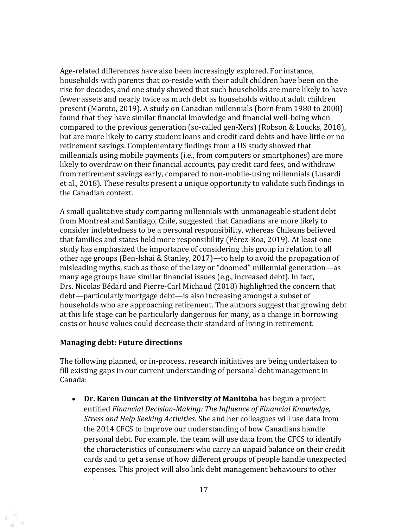Age-related differences have also been increasingly explored. For instance, households with parents that co-reside with their adult children have been on the rise for decades, and one study showed that such households are more likely to have fewer assets and nearly twice as much debt as households without adult children present (Maroto, 2019). A study on Canadian millennials (born from 1980 to 2000) found that they have similar financial knowledge and financial well-being when compared to the previous generation (so-called gen-Xers) (Robson & Loucks, 2018), but are more likely to carry student loans and credit card debts and have little or no retirement savings. Complementary findings from a US study showed that millennials using mobile payments (i.e., from computers or smartphones) are more likely to overdraw on their financial accounts, pay credit card fees, and withdraw from retirement savings early, compared to non-mobile-using millennials (Lusardi et al., 2018). These results present a unique opportunity to validate such findings in the Canadian context.

A small qualitative study comparing millennials with unmanageable student debt from Montreal and Santiago, Chile, suggested that Canadians are more likely to consider indebtedness to be a personal responsibility, whereas Chileans believed that families and states held more responsibility (Pérez-Roa, 2019). At least one study has emphasized the importance of considering this group in relation to all other age groups (Ben-Ishai & Stanley, 2017)—to help to avoid the propagation of misleading myths, such as those of the lazy or "doomed" millennial generation—as many age groups have similar financial issues (e.g., increased debt). In fact, Drs. Nicolas Bédard and Pierre-Carl Michaud (2018) highlighted the concern that debt—particularly mortgage debt—is also increasing amongst a subset of households who are approaching retirement. The authors suggest that growing debt at this life stage can be particularly dangerous for many, as a change in borrowing costs or house values could decrease their standard of living in retirement.

#### **Managing debt: Future directions**

The following planned, or in-process, research initiatives are being undertaken to fill existing gaps in our current understanding of personal debt management in Canada:

• **Dr. Karen Duncan at the University of Manitoba** has begun a project entitled *Financial Decision-Making: The Influence of Financial Knowledge, Stress and Help Seeking Activities*. She and her colleagues will use data from the 2014 CFCS to improve our understanding of how Canadians handle personal debt. For example, the team will use data from the CFCS to identify the characteristics of consumers who carry an unpaid balance on their credit cards and to get a sense of how different groups of people handle unexpected expenses. This project will also link debt management behaviours to other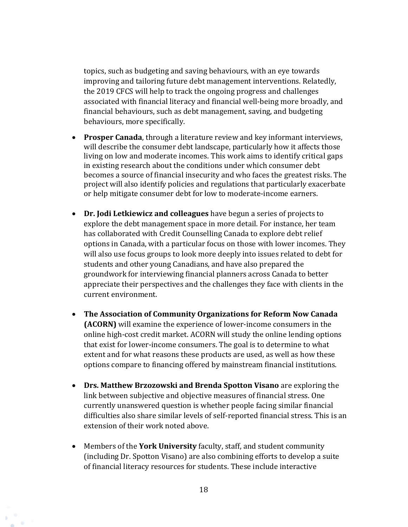topics, such as budgeting and saving behaviours, with an eye towards improving and tailoring future debt management interventions. Relatedly, the 2019 CFCS will help to track the ongoing progress and challenges associated with financial literacy and financial well-being more broadly, and financial behaviours, such as debt management, saving, and budgeting behaviours, more specifically.

- **Prosper Canada**, through a literature review and key informant interviews, will describe the consumer debt landscape, particularly how it affects those living on low and moderate incomes. This work aims to identify critical gaps in existing research about the conditions under which consumer debt becomes a source of financial insecurity and who faces the greatest risks. The project will also identify policies and regulations that particularly exacerbate or help mitigate consumer debt for low to moderate-income earners.
- **Dr. Jodi Letkiewicz and colleagues** have begun a series of projects to explore the debt management space in more detail. For instance, her team has collaborated with Credit Counselling Canada to explore debt relief options in Canada, with a particular focus on those with lower incomes. They will also use focus groups to look more deeply into issues related to debt for students and other young Canadians, and have also prepared the groundwork for interviewing financial planners across Canada to better appreciate their perspectives and the challenges they face with clients in the current environment.
- **The Association of Community Organizations for Reform Now Canada (ACORN)** will examine the experience of lower-income consumers in the online high-cost credit market. ACORN will study the online lending options that exist for lower-income consumers. The goal is to determine to what extent and for what reasons these products are used, as well as how these options compare to financing offered by mainstream financial institutions.
- **Drs. Matthew Brzozowski and Brenda Spotton Visano** are exploring the link between subjective and objective measures of financial stress. One currently unanswered question is whether people facing similar financial difficulties also share similar levels of self-reported financial stress. This is an extension of their work noted above.
- Members of the **York University** faculty, staff, and student community (including Dr. Spotton Visano) are also combining efforts to develop a suite of financial literacy resources for students. These include interactive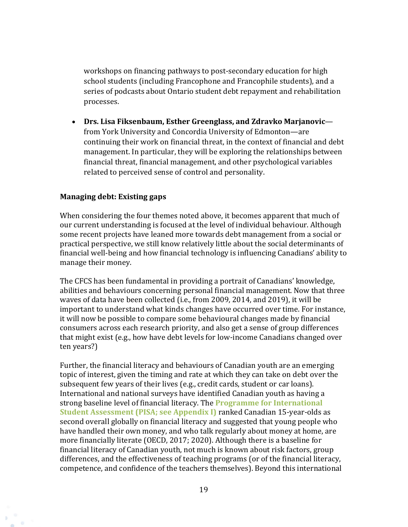workshops on financing pathways to post-secondary education for high school students (including Francophone and Francophile students), and a series of podcasts about Ontario student debt repayment and rehabilitation processes.

• **Drs. Lisa Fiksenbaum, Esther Greenglass, and Zdravko Marjanovic** from York University and Concordia University of Edmonton—are continuing their work on financial threat, in the context of financial and debt management. In particular, they will be exploring the relationships between financial threat, financial management, and other psychological variables related to perceived sense of control and personality.

#### **Managing debt: Existing gaps**

When considering the four themes noted above, it becomes apparent that much of our current understanding is focused at the level of individual behaviour. Although some recent projects have leaned more towards debt management from a social or practical perspective, we still know relatively little about the social determinants of financial well-being and how financial technology is influencing Canadians' ability to manage their money.

The CFCS has been fundamental in providing a portrait of Canadians' knowledge, abilities and behaviours concerning personal financial management. Now that three waves of data have been collected (i.e., from 2009, 2014, and 2019), it will be important to understand what kinds changes have occurred over time. For instance, it will now be possible to compare some behavioural changes made by financial consumers across each research priority, and also get a sense of group differences that might exist (e.g., how have debt levels for low-income Canadians changed over ten years?)

Further, the financial literacy and behaviours of Canadian youth are an emerging topic of interest, given the timing and rate at which they can take on debt over the subsequent few years of their lives (e.g., credit cards, student or car loans). International and national surveys have identified Canadian youth as having a strong baseline level of financial literacy. The **Programme for International Student Assessment (PISA; see Appendix I)** ranked Canadian 15-year-olds as second overall globally on financial literacy and suggested that young people who have handled their own money, and who talk regularly about money at home, are more financially literate (OECD, 2017; 2020). Although there is a baseline for financial literacy of Canadian youth, not much is known about risk factors, group differences, and the effectiveness of teaching programs (or of the financial literacy, competence, and confidence of the teachers themselves). Beyond this international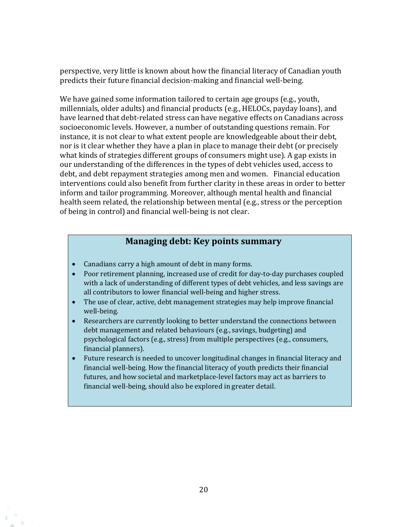perspective, very little is known about how the financial literacy of Canadian youth predicts their future financial decision-making and financial well-being.

We have gained some information tailored to certain age groups (e.g., youth, millennials, older adults) and financial products (e.g., HELOCs, payday loans), and have learned that debt-related stress can have negative effects on Canadians across socioeconomic levels. However, a number of outstanding questions remain. For instance, it is not clear to what extent people are knowledgeable about their debt, nor is it clear whether they have a plan in place to manage their debt (or precisely what kinds of strategies different groups of consumers might use). A gap exists in our understanding of the differences in the types of debt vehicles used, access to debt, and debt repayment strategies among men and women. Financial education interventions could also benefit from further clarity in these areas in order to better inform and tailor programming. Moreover, although mental health and financial health seem related, the relationship between mental (e.g., stress or the perception of being in control) and financial well-being is not clear.

### **Managing debt: Key points summary**

- Canadians carry a high amount of debt in many forms.
- Poor retirement planning, increased use of credit for day-to-day purchases coupled with a lack of understanding of different types of debt vehicles, and less savings are all contributors to lower financial well-being and higher stress.
- The use of clear, active, debt management strategies may help improve financial well-being.
- Researchers are currently looking to better understand the connections between debt management and related behaviours (e.g., savings, budgeting) and psychological factors (e.g., stress) from multiple perspectives (e.g., consumers, financial planners).
- Future research is needed to uncover longitudinal changes in financial literacy and financial well-being. How the financial literacy of youth predicts their financial futures, and how societal and marketplace-level factors may act as barriers to financial well-being, should also be explored in greater detail.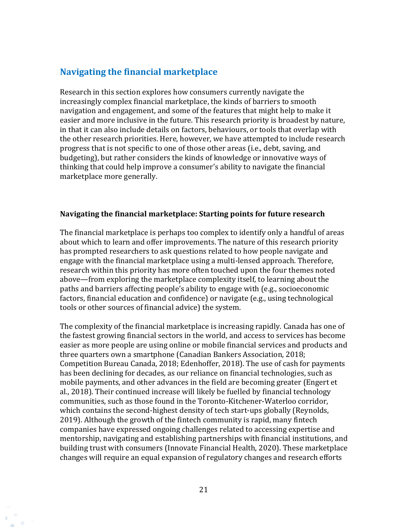### <span id="page-20-0"></span>**Navigating the financial marketplace**

Research in this section explores how consumers currently navigate the increasingly complex financial marketplace, the kinds of barriers to smooth navigation and engagement, and some of the features that might help to make it easier and more inclusive in the future. This research priority is broadest by nature, in that it can also include details on factors, behaviours, or tools that overlap with the other research priorities. Here, however, we have attempted to include research progress that is not specific to one of those other areas (i.e., debt, saving, and budgeting), but rather considers the kinds of knowledge or innovative ways of thinking that could help improve a consumer's ability to navigate the financial marketplace more generally.

#### **Navigating the financial marketplace: Starting points for future research**

The financial marketplace is perhaps too complex to identify only a handful of areas about which to learn and offer improvements. The nature of this research priority has prompted researchers to ask questions related to how people navigate and engage with the financial marketplace using a multi-lensed approach. Therefore, research within this priority has more often touched upon the four themes noted above—from exploring the marketplace complexity itself, to learning about the paths and barriers affecting people's ability to engage with (e.g., socioeconomic factors, financial education and confidence) or navigate (e.g., using technological tools or other sources of financial advice) the system.

The complexity of the financial marketplace is increasing rapidly. Canada has one of the fastest growing financial sectors in the world, and access to services has become easier as more people are using online or mobile financial services and products and three quarters own a smartphone (Canadian Bankers Association, 2018; Competition Bureau Canada, 2018; Edenhoffer, 2018). The use of cash for payments has been declining for decades, as our reliance on financial technologies, such as mobile payments, and other advances in the field are becoming greater (Engert et al., 2018). Their continued increase will likely be fuelled by financial technology communities, such as those found in the Toronto-Kitchener-Waterloo corridor, which contains the second-highest density of tech start-ups globally (Reynolds, 2019). Although the growth of the fintech community is rapid, many fintech companies have expressed ongoing challenges related to accessing expertise and mentorship, navigating and establishing partnerships with financial institutions, and building trust with consumers (Innovate Financial Health, 2020). These marketplace changes will require an equal expansion of regulatory changes and research efforts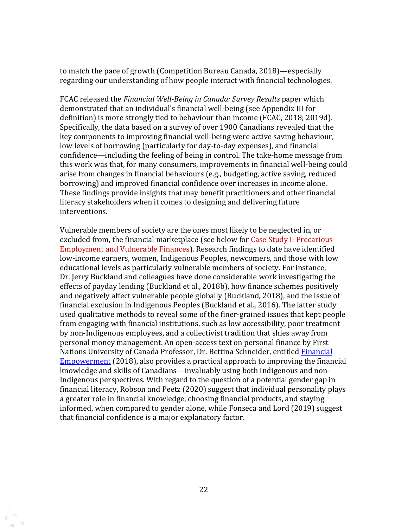to match the pace of growth (Competition Bureau Canada, 2018)—especially regarding our understanding of how people interact with financial technologies.

FCAC released the *Financial Well-Being in Canada: Survey Results* paper which demonstrated that an individual's financial well-being (see Appendix III for definition) is more strongly tied to behaviour than income (FCAC, 2018; 2019d). Specifically, the data based on a survey of over 1900 Canadians revealed that the key components to improving financial well-being were active saving behaviour, low levels of borrowing (particularly for day-to-day expenses), and financial confidence—including the feeling of being in control. The take-home message from this work was that, for many consumers, improvements in financial well-being could arise from changes in financial behaviours (e.g., budgeting, active saving, reduced borrowing) and improved financial confidence over increases in income alone. These findings provide insights that may benefit practitioners and other financial literacy stakeholders when it comes to designing and delivering future interventions.

Vulnerable members of society are the ones most likely to be neglected in, or excluded from, the financial marketplace (see below for Case Study I: Precarious Employment and Vulnerable Finances). Research findings to date have identified low-income earners, women, Indigenous Peoples, newcomers, and those with low educational levels as particularly vulnerable members of society. For instance, Dr. Jerry Buckland and colleagues have done considerable work investigating the effects of payday lending (Buckland et al., 2018b), how finance schemes positively and negatively affect vulnerable people globally (Buckland, 2018), and the issue of financial exclusion in Indigenous Peoples (Buckland et al., 2016). The latter study used qualitative methods to reveal some of the finer-grained issues that kept people from engaging with financial institutions, such as low accessibility, poor treatment by non-Indigenous employees, and a collectivist tradition that shies away from personal money management. An open-access text on personal finance by First Nations University of Canada Professor, Dr. Bettina Schneider, entitled [Financial](https://www.uregina.ca/open-access/open-textbooks/titles/financial-empowerment.html)  [Empowerment](https://www.uregina.ca/open-access/open-textbooks/titles/financial-empowerment.html) (2018), also provides a practical approach to improving the financial knowledge and skills of Canadians—invaluably using both Indigenous and non-Indigenous perspectives. With regard to the question of a potential gender gap in financial literacy, Robson and Peetz (2020) suggest that individual personality plays a greater role in financial knowledge, choosing financial products, and staying informed, when compared to gender alone, while Fonseca and Lord (2019) suggest that financial confidence is a major explanatory factor.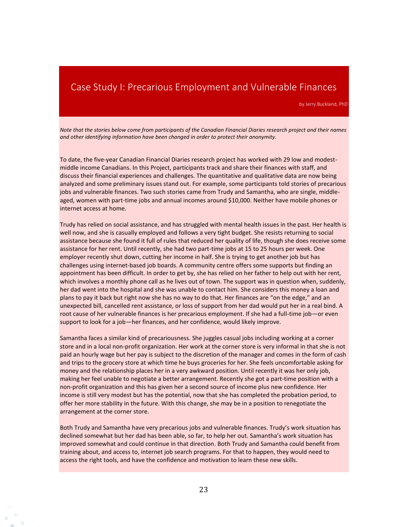### <span id="page-22-0"></span>Case Study I: Precarious Employment and Vulnerable Finances

by Jerry Buckland, PhD

*Note that the stories below come from participants of the Canadian Financial Diaries research project and their names and other identifying information have been changed in order to protect their anonymity.* 

To date, the five-year Canadian Financial Diaries research project has worked with 29 low and modestmiddle income Canadians. In this Project, participants track and share their finances with staff, and discuss their financial experiences and challenges. The quantitative and qualitative data are now being analyzed and some preliminary issues stand out. For example, some participants told stories of precarious jobs and vulnerable finances. Two such stories came from Trudy and Samantha, who are single, middleaged, women with part-time jobs and annual incomes around \$10,000. Neither have mobile phones or internet access at home.

Trudy has relied on social assistance, and has struggled with mental health issues in the past. Her health is well now, and she is casually employed and follows a very tight budget. She resists returning to social assistance because she found it full of rules that reduced her quality of life, though she does receive some assistance for her rent. Until recently, she had two part-time jobs at 15 to 25 hours per week. One employer recently shut down, cutting her income in half. She is trying to get another job but has challenges using internet-based job boards. A community centre offers some supports but finding an appointment has been difficult. In order to get by, she has relied on her father to help out with her rent, which involves a monthly phone call as he lives out of town. The support was in question when, suddenly, her dad went into the hospital and she was unable to contact him. She considers this money a loan and plans to pay it back but right now she has no way to do that. Her finances are "on the edge," and an unexpected bill, cancelled rent assistance, or loss of support from her dad would put her in a real bind. A root cause of her vulnerable finances is her precarious employment. If she had a full-time job—or even support to look for a job—her finances, and her confidence, would likely improve.

Samantha faces a similar kind of precariousness. She juggles casual jobs including working at a corner store and in a local non-profit organization. Her work at the corner store is very informal in that she is not paid an hourly wage but her pay is subject to the discretion of the manager and comes in the form of cash and trips to the grocery store at which time he buys groceries for her. She feels uncomfortable asking for money and the relationship places her in a very awkward position. Until recently it was her only job, making her feel unable to negotiate a better arrangement. Recently she got a part-time position with a non-profit organization and this has given her a second source of income plus new confidence. Her income is still very modest but has the potential, now that she has completed the probation period, to offer her more stability in the future. With this change, she may be in a position to renegotiate the arrangement at the corner store.

Both Trudy and Samantha have very precarious jobs and vulnerable finances. Trudy's work situation has declined somewhat but her dad has been able, so far, to help her out. Samantha's work situation has improved somewhat and could continue in that direction. Both Trudy and Samantha could benefit from training about, and access to, internet job search programs. For that to happen, they would need to access the right tools, and have the confidence and motivation to learn these new skills.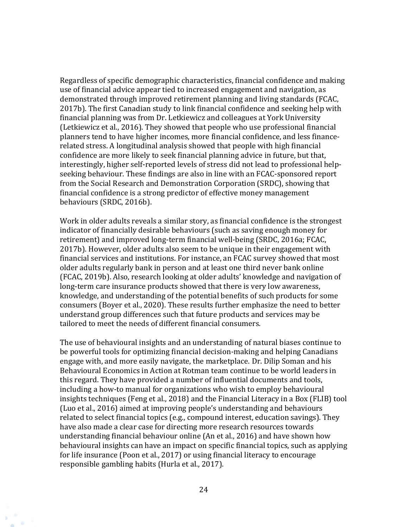Regardless of specific demographic characteristics, financial confidence and making use of financial advice appear tied to increased engagement and navigation, as demonstrated through improved retirement planning and living standards (FCAC, 2017b). The first Canadian study to link financial confidence and seeking help with financial planning was from Dr. Letkiewicz and colleagues at York University (Letkiewicz et al., 2016). They showed that people who use professional financial planners tend to have higher incomes, more financial confidence, and less financerelated stress. A longitudinal analysis showed that people with high financial confidence are more likely to seek financial planning advice in future, but that, interestingly, higher self-reported levels of stress did not lead to professional helpseeking behaviour. These findings are also in line with an FCAC-sponsored report from the Social Research and Demonstration Corporation (SRDC), showing that financial confidence is a strong predictor of effective money management behaviours (SRDC, 2016b).

Work in older adults reveals a similar story, as financial confidence is the strongest indicator of financially desirable behaviours (such as saving enough money for retirement) and improved long-term financial well-being (SRDC, 2016a; FCAC, 2017b). However, older adults also seem to be unique in their engagement with financial services and institutions. For instance, an FCAC survey showed that most older adults regularly bank in person and at least one third never bank online (FCAC, 2019b). Also, research looking at older adults' knowledge and navigation of long-term care insurance products showed that there is very low awareness, knowledge, and understanding of the potential benefits of such products for some consumers (Boyer et al., 2020). These results further emphasize the need to better understand group differences such that future products and services may be tailored to meet the needs of different financial consumers.

The use of behavioural insights and an understanding of natural biases continue to be powerful tools for optimizing financial decision-making and helping Canadians engage with, and more easily navigate, the marketplace. Dr. Dilip Soman and his Behavioural Economics in Action at Rotman team continue to be world leaders in this regard. They have provided a number of influential documents and tools, including a how-to manual for organizations who wish to employ behavioural insights techniques (Feng et al., 2018) and the Financial Literacy in a Box (FLIB) tool (Luo et al., 2016) aimed at improving people's understanding and behaviours related to select financial topics (e.g., compound interest, education savings). They have also made a clear case for directing more research resources towards understanding financial behaviour online (An et al., 2016) and have shown how behavioural insights can have an impact on specific financial topics, such as applying for life insurance (Poon et al., 2017) or using financial literacy to encourage responsible gambling habits (Hurla et al., 2017).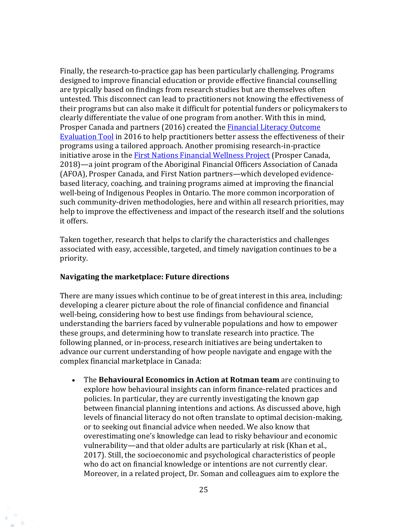Finally, the research-to-practice gap has been particularly challenging. Programs designed to improve financial education or provide effective financial counselling are typically based on findings from research studies but are themselves often untested. This disconnect can lead to practitioners not knowing the effectiveness of their programs but can also make it difficult for potential funders or policymakers to clearly differentiate the value of one program from another. With this in mind, Prosper Canada and partners (2016) created the **Financial Literacy Outcome** [Evaluation Tool](http://outcomeeval.org/) in 2016 to help practitioners better assess the effectiveness of their programs using a tailored approach. Another promising research-in-practice initiative arose in the [First Nations Financial Wellness Project](http://prospercanada.org/Our-Work/Centre-for-Financial-Literacy/First-Nations-Financial-Wellness-Project.aspx) (Prosper Canada, 2018)—a joint program of the Aboriginal Financial Officers Association of Canada (AFOA), Prosper Canada, and First Nation partners—which developed evidencebased literacy, coaching, and training programs aimed at improving the financial well-being of Indigenous Peoples in Ontario. The more common incorporation of such community-driven methodologies, here and within all research priorities, may help to improve the effectiveness and impact of the research itself and the solutions it offers.

Taken together, research that helps to clarify the characteristics and challenges associated with easy, accessible, targeted, and timely navigation continues to be a priority.

#### **Navigating the marketplace: Future directions**

There are many issues which continue to be of great interest in this area, including: developing a clearer picture about the role of financial confidence and financial well-being, considering how to best use findings from behavioural science, understanding the barriers faced by vulnerable populations and how to empower these groups, and determining how to translate research into practice. The following planned, or in-process, research initiatives are being undertaken to advance our current understanding of how people navigate and engage with the complex financial marketplace in Canada:

• The **Behavioural Economics in Action at Rotman team** are continuing to explore how behavioural insights can inform finance-related practices and policies. In particular, they are currently investigating the known gap between financial planning intentions and actions. As discussed above, high levels of financial literacy do not often translate to optimal decision-making, or to seeking out financial advice when needed. We also know that overestimating one's knowledge can lead to risky behaviour and economic vulnerability—and that older adults are particularly at risk (Khan et al., 2017). Still, the socioeconomic and psychological characteristics of people who do act on financial knowledge or intentions are not currently clear. Moreover, in a related project, Dr. Soman and colleagues aim to explore the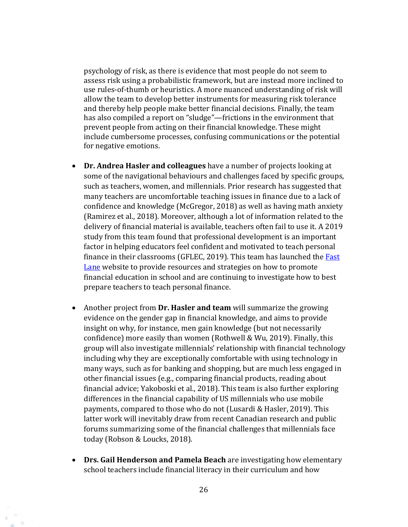psychology of risk, as there is evidence that most people do not seem to assess risk using a probabilistic framework, but are instead more inclined to use rules-of-thumb or heuristics. A more nuanced understanding of risk will allow the team to develop better instruments for measuring risk tolerance and thereby help people make better financial decisions. Finally, the team has also compiled a report on "sludge"—frictions in the environment that prevent people from acting on their financial knowledge. These might include cumbersome processes, confusing communications or the potential for negative emotions.

- **Dr. Andrea Hasler and colleagues** have a number of projects looking at some of the navigational behaviours and challenges faced by specific groups, such as teachers, women, and millennials. Prior research has suggested that many teachers are uncomfortable teaching issues in finance due to a lack of confidence and knowledge (McGregor, 2018) as well as having math anxiety (Ramirez et al., 2018). Moreover, although a lot of information related to the delivery of financial material is available, teachers often fail to use it. A 2019 study from this team found that professional development is an important factor in helping educators feel confident and motivated to teach personal finance in their classrooms (GFLEC, 2019). This team has launched the Fast **[Lane](https://fastlane-education.org/)** website to provide resources and strategies on how to promote financial education in school and are continuing to investigate how to best prepare teachers to teach personal finance.
- Another project from **Dr. Hasler and team** will summarize the growing evidence on the gender gap in financial knowledge, and aims to provide insight on why, for instance, men gain knowledge (but not necessarily confidence) more easily than women (Rothwell & Wu, 2019). Finally, this group will also investigate millennials' relationship with financial technology including why they are exceptionally comfortable with using technology in many ways, such as for banking and shopping, but are much less engaged in other financial issues (e.g., comparing financial products, reading about financial advice; Yakoboski et al., 2018). This team is also further exploring differences in the financial capability of US millennials who use mobile payments, compared to those who do not (Lusardi & Hasler, 2019). This latter work will inevitably draw from recent Canadian research and public forums summarizing some of the financial challenges that millennials face today (Robson & Loucks, 2018).
- **Drs. Gail Henderson and Pamela Beach** are investigating how elementary school teachers include financial literacy in their curriculum and how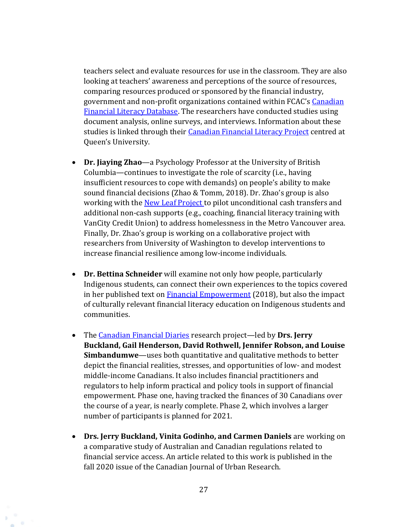teachers select and evaluate resources for use in the classroom. They are also looking at teachers' awareness and perceptions of the source of resources, comparing resources produced or sponsored by the financial industry, government and non-profit organizations contained within FCAC's [Canadian](https://canada-preview.adobecqms.net/en/financial-consumer-agency/services/financial-literacy-database.html)  [Financial Literacy Database.](https://canada-preview.adobecqms.net/en/financial-consumer-agency/services/financial-literacy-database.html) The researchers have conducted studies using document analysis, online surveys, and interviews. Information about these studies is linked through their [Canadian Financial Literacy Project](https://finlitproject.org/team/) centred at Queen's University.

- **Dr. Jiaying Zhao**—a Psychology Professor at the University of British Columbia—continues to investigate the role of scarcity (i.e., having insufficient resources to cope with demands) on people's ability to make sound financial decisions (Zhao & Tomm, 2018). Dr. Zhao's group is also working with the [New Leaf Project](https://www.newleafproject.org/) to pilot unconditional cash transfers and additional non-cash supports (e.g., coaching, financial literacy training with VanCity Credit Union) to address homelessness in the Metro Vancouver area. Finally, Dr. Zhao's group is working on a collaborative project with researchers from University of Washington to develop interventions to increase financial resilience among low-income individuals.
- **Dr. Bettina Schneider** will examine not only how people, particularly Indigenous students, can connect their own experiences to the topics covered in her published text on [Financial Empowerment](https://www.uregina.ca/open-access/open-textbooks/titles/financial-empowerment.html) (2018), but also the impact of culturally relevant financial literacy education on Indigenous students and communities.
- The [Canadian Financial Diaries](https://financialdiariesca.wordpress.com/) research project—led by **Drs. Jerry Buckland, Gail Henderson, David Rothwell, Jennifer Robson, and Louise Simbandumwe**—uses both quantitative and qualitative methods to better depict the financial realities, stresses, and opportunities of low- and modest middle-income Canadians. It also includes financial practitioners and regulators to help inform practical and policy tools in support of financial empowerment. Phase one, having tracked the finances of 30 Canadians over the course of a year, is nearly complete. Phase 2, which involves a larger number of participants is planned for 2021.
- **Drs. Jerry Buckland, Vinita Godinho, and Carmen Daniels** are working on a comparative study of Australian and Canadian regulations related to financial service access. An article related to this work is published in the fall 2020 issue of the Canadian Journal of Urban Research.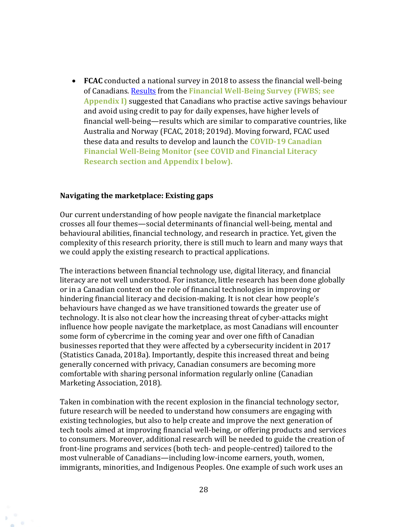• **FCAC** conducted a national survey in 2018 to assess the financial well-being of Canadians. [Results](https://www.canada.ca/en/financial-consumer-agency/programs/research/financial-well-being-survey-results.html) from the **Financial Well-Being Survey (FWBS; see Appendix I)** suggested that Canadians who practise active savings behaviour and avoid using credit to pay for daily expenses, have higher levels of financial well-being—results which are similar to comparative countries, like Australia and Norway (FCAC, 2018; 2019d). Moving forward, FCAC used these data and results to develop and launch the **COVID-19 Canadian Financial Well-Being Monitor (see COVID and Financial Literacy Research section and Appendix I below).** 

#### **Navigating the marketplace: Existing gaps**

Our current understanding of how people navigate the financial marketplace crosses all four themes—social determinants of financial well-being, mental and behavioural abilities, financial technology, and research in practice. Yet, given the complexity of this research priority, there is still much to learn and many ways that we could apply the existing research to practical applications.

The interactions between financial technology use, digital literacy, and financial literacy are not well understood. For instance, little research has been done globally or in a Canadian context on the role of financial technologies in improving or hindering financial literacy and decision-making. It is not clear how people's behaviours have changed as we have transitioned towards the greater use of technology. It is also not clear how the increasing threat of cyber-attacks might influence how people navigate the marketplace, as most Canadians will encounter some form of cybercrime in the coming year and over one fifth of Canadian businesses reported that they were affected by a cybersecurity incident in 2017 (Statistics Canada, 2018a). Importantly, despite this increased threat and being generally concerned with privacy, Canadian consumers are becoming more comfortable with sharing personal information regularly online (Canadian Marketing Association, 2018).

Taken in combination with the recent explosion in the financial technology sector, future research will be needed to understand how consumers are engaging with existing technologies, but also to help create and improve the next generation of tech tools aimed at improving financial well-being, or offering products and services to consumers. Moreover, additional research will be needed to guide the creation of front-line programs and services (both tech- and people-centred) tailored to the most vulnerable of Canadians—including low-income earners, youth, women, immigrants, minorities, and Indigenous Peoples. One example of such work uses an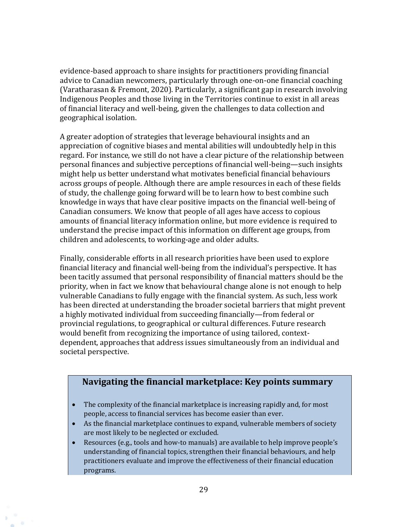evidence-based approach to share insights for practitioners providing financial advice to Canadian newcomers, particularly through one-on-one financial coaching (Varatharasan & Fremont, 2020). Particularly, a significant gap in research involving Indigenous Peoples and those living in the Territories continue to exist in all areas of financial literacy and well-being, given the challenges to data collection and geographical isolation.

A greater adoption of strategies that leverage behavioural insights and an appreciation of cognitive biases and mental abilities will undoubtedly help in this regard. For instance, we still do not have a clear picture of the relationship between personal finances and subjective perceptions of financial well-being—such insights might help us better understand what motivates beneficial financial behaviours across groups of people. Although there are ample resources in each of these fields of study, the challenge going forward will be to learn how to best combine such knowledge in ways that have clear positive impacts on the financial well-being of Canadian consumers. We know that people of all ages have access to copious amounts of financial literacy information online, but more evidence is required to understand the precise impact of this information on different age groups, from children and adolescents, to working-age and older adults.

Finally, considerable efforts in all research priorities have been used to explore financial literacy and financial well-being from the individual's perspective. It has been tacitly assumed that personal responsibility of financial matters should be the priority, when in fact we know that behavioural change alone is not enough to help vulnerable Canadians to fully engage with the financial system. As such, less work has been directed at understanding the broader societal barriers that might prevent a highly motivated individual from succeeding financially—from federal or provincial regulations, to geographical or cultural differences. Future research would benefit from recognizing the importance of using tailored, contextdependent, approaches that address issues simultaneously from an individual and societal perspective.

### **Navigating the financial marketplace: Key points summary**

- The complexity of the financial marketplace is increasing rapidly and, for most people, access to financial services has become easier than ever.
- As the financial marketplace continues to expand, vulnerable members of society are most likely to be neglected or excluded.
- Resources (e.g., tools and how-to manuals) are available to help improve people's understanding of financial topics, strengthen their financial behaviours, and help practitioners evaluate and improve the effectiveness of their financial education programs.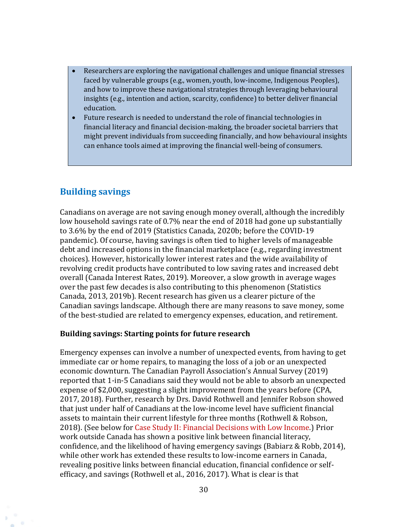- Researchers are exploring the navigational challenges and unique financial stresses faced by vulnerable groups (e.g., women, youth, low-income, Indigenous Peoples), and how to improve these navigational strategies through leveraging behavioural insights (e.g., intention and action, scarcity, confidence) to better deliver financial education.
- Future research is needed to understand the role of financial technologies in financial literacy and financial decision-making, the broader societal barriers that might prevent individuals from succeeding financially, and how behavioural insights can enhance tools aimed at improving the financial well-being of consumers.

### <span id="page-29-0"></span>**Building savings**

Canadians on average are not saving enough money overall, although the incredibly low household savings rate of 0.7% near the end of 2018 had gone up substantially to 3.6% by the end of 2019 (Statistics Canada, 2020b; before the COVID-19 pandemic). Of course, having savings is often tied to higher levels of manageable debt and increased options in the financial marketplace (e.g., regarding investment choices). However, historically lower interest rates and the wide availability of revolving credit products have contributed to low saving rates and increased debt overall (Canada Interest Rates, 2019). Moreover, a slow growth in average wages over the past few decades is also contributing to this phenomenon (Statistics Canada, 2013, 2019b). Recent research has given us a clearer picture of the Canadian savings landscape. Although there are many reasons to save money, some of the best-studied are related to emergency expenses, education, and retirement.

#### **Building savings: Starting points for future research**

Emergency expenses can involve a number of unexpected events, from having to get immediate car or home repairs, to managing the loss of a job or an unexpected economic downturn. The Canadian Payroll Association's Annual Survey (2019) reported that 1-in-5 Canadians said they would not be able to absorb an unexpected expense of \$2,000, suggesting a slight improvement from the years before (CPA, 2017, 2018). Further, research by Drs. David Rothwell and Jennifer Robson showed that just under half of Canadians at the low-income level have sufficient financial assets to maintain their current lifestyle for three months (Rothwell & Robson, 2018). (See below for Case Study II: Financial Decisions with Low Income.) Prior work outside Canada has shown a positive link between financial literacy, confidence, and the likelihood of having emergency savings (Babiarz & Robb, 2014), while other work has extended these results to low-income earners in Canada, revealing positive links between financial education, financial confidence or selfefficacy, and savings (Rothwell et al., 2016, 2017). What is clear is that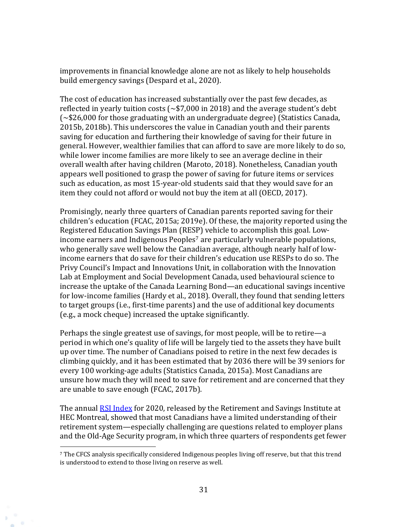improvements in financial knowledge alone are not as likely to help households build emergency savings (Despard et al., 2020).

The cost of education has increased substantially over the past few decades, as reflected in yearly tuition costs (~\$7,000 in 2018) and the average student's debt (~\$26,000 for those graduating with an undergraduate degree) (Statistics Canada, 2015b, 2018b). This underscores the value in Canadian youth and their parents saving for education and furthering their knowledge of saving for their future in general. However, wealthier families that can afford to save are more likely to do so, while lower income families are more likely to see an average decline in their overall wealth after having children (Maroto, 2018). Nonetheless, Canadian youth appears well positioned to grasp the power of saving for future items or services such as education, as most 15-year-old students said that they would save for an item they could not afford or would not buy the item at all (OECD, 2017).

Promisingly, nearly three quarters of Canadian parents reported saving for their children's education (FCAC, 2015a; 2019e). Of these, the majority reported using the Registered Education Savings Plan (RESP) vehicle to accomplish this goal. Lowincome earners and Indigenous Peoples<sup>7</sup> are particularly vulnerable populations, who generally save well below the Canadian average, although nearly half of lowincome earners that do save for their children's education use RESPs to do so. The Privy Council's Impact and Innovations Unit, in collaboration with the Innovation Lab at Employment and Social Development Canada, used behavioural science to increase the uptake of the Canada Learning Bond—an educational savings incentive for low-income families (Hardy et al., 2018). Overall, they found that sending letters to target groups (i.e., first-time parents) and the use of additional key documents (e.g., a mock cheque) increased the uptake significantly.

Perhaps the single greatest use of savings, for most people, will be to retire—a period in which one's quality of life will be largely tied to the assets they have built up over time. The number of Canadians poised to retire in the next few decades is climbing quickly, and it has been estimated that by 2036 there will be 39 seniors for every 100 working-age adults (Statistics Canada, 2015a). Most Canadians are unsure how much they will need to save for retirement and are concerned that they are unable to save enough (FCAC, 2017b).

The annual [RSI Index](https://ire.hec.ca/en/rsi-index-2020/) for 2020, released by the Retirement and Savings Institute at HEC Montreal, showed that most Canadians have a limited understanding of their retirement system—especially challenging are questions related to employer plans and the Old-Age Security program, in which three quarters of respondents get fewer

<sup>7</sup> The CFCS analysis specifically considered Indigenous peoples living off reserve, but that this trend is understood to extend to those living on reserve as well.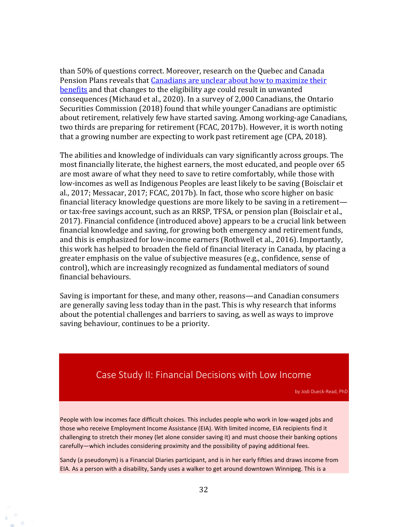than 50% of questions correct. Moreover, research on the Quebec and Canada Pension Plans reveals that Canadians are unclear about how to maximize their [benefits](https://www.thewhig.com/opinion/pierre-carl-michaud-should-you-take-your-cpp-qpp-pension-at-60-or-hang-tight/wcm/6aa83cb5-f918-423b-8fdb-bcd3c4c8e5a8) and that changes to the eligibility age could result in unwanted consequences (Michaud et al., 2020). In a survey of 2,000 Canadians, the Ontario Securities Commission (2018) found that while younger Canadians are optimistic about retirement, relatively few have started saving. Among working-age Canadians, two thirds are preparing for retirement (FCAC, 2017b). However, it is worth noting that a growing number are expecting to work past retirement age (CPA, 2018).

The abilities and knowledge of individuals can vary significantly across groups. The most financially literate, the highest earners, the most educated, and people over 65 are most aware of what they need to save to retire comfortably, while those with low-incomes as well as Indigenous Peoples are least likely to be saving (Boisclair et al., 2017; Messacar, 2017; FCAC, 2017b). In fact, those who score higher on basic financial literacy knowledge questions are more likely to be saving in a retirement or tax-free savings account, such as an RRSP, TFSA, or pension plan (Boisclair et al., 2017). Financial confidence (introduced above) appears to be a crucial link between financial knowledge and saving, for growing both emergency and retirement funds, and this is emphasized for low-income earners (Rothwell et al., 2016). Importantly, this work has helped to broaden the field of financial literacy in Canada, by placing a greater emphasis on the value of subjective measures (e.g., confidence, sense of control), which are increasingly recognized as fundamental mediators of sound financial behaviours.

Saving is important for these, and many other, reasons—and Canadian consumers are generally saving less today than in the past. This is why research that informs about the potential challenges and barriers to saving, as well as ways to improve saving behaviour, continues to be a priority.

### <span id="page-31-0"></span>Case Study II: Financial Decisions with Low Income

by Jodi Dueck-Read, PhD

People with low incomes face difficult choices. This includes people who work in low-waged jobs and those who receive Employment Income Assistance (EIA). With limited income, EIA recipients find it challenging to stretch their money (let alone consider saving it) and must choose their banking options carefully—which includes considering proximity and the possibility of paying additional fees.

Sandy (a pseudonym) is a Financial Diaries participant, and is in her early fifties and draws income from EIA. As a person with a disability, Sandy uses a walker to get around downtown Winnipeg. This is a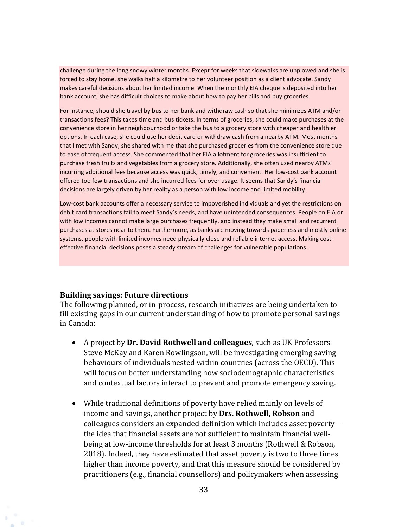challenge during the long snowy winter months. Except for weeks that sidewalks are unplowed and she is forced to stay home, she walks half a kilometre to her volunteer position as a client advocate. Sandy makes careful decisions about her limited income. When the monthly EIA cheque is deposited into her bank account, she has difficult choices to make about how to pay her bills and buy groceries.

For instance, should she travel by bus to her bank and withdraw cash so that she minimizes ATM and/or transactions fees? This takes time and bus tickets. In terms of groceries, she could make purchases at the convenience store in her neighbourhood or take the bus to a grocery store with cheaper and healthier options. In each case, she could use her debit card or withdraw cash from a nearby ATM. Most months that I met with Sandy, she shared with me that she purchased groceries from the convenience store due to ease of frequent access. She commented that her EIA allotment for groceries was insufficient to purchase fresh fruits and vegetables from a grocery store. Additionally, she often used nearby ATMs incurring additional fees because access was quick, timely, and convenient. Her low-cost bank account offered too few transactions and she incurred fees for over usage. It seems that Sandy's financial decisions are largely driven by her reality as a person with low income and limited mobility.

Low-cost bank accounts offer a necessary service to impoverished individuals and yet the restrictions on debit card transactions fail to meet Sandy's needs, and have unintended consequences. People on EIA or with low incomes cannot make large purchases frequently, and instead they make small and recurrent purchases at stores near to them. Furthermore, as banks are moving towards paperless and mostly online systems, people with limited incomes need physically close and reliable internet access. Making costeffective financial decisions poses a steady stream of challenges for vulnerable populations.

#### **Building savings: Future directions**

The following planned, or in-process, research initiatives are being undertaken to fill existing gaps in our current understanding of how to promote personal savings in Canada:

- A project by **Dr. David Rothwell and colleagues**, such as UK Professors Steve McKay and Karen Rowlingson, will be investigating emerging saving behaviours of individuals nested within countries (across the OECD). This will focus on better understanding how sociodemographic characteristics and contextual factors interact to prevent and promote emergency saving.
- While traditional definitions of poverty have relied mainly on levels of income and savings, another project by **Drs. Rothwell, Robson** and colleagues considers an expanded definition which includes asset poverty the idea that financial assets are not sufficient to maintain financial wellbeing at low-income thresholds for at least 3 months (Rothwell & Robson, 2018). Indeed, they have estimated that asset poverty is two to three times higher than income poverty, and that this measure should be considered by practitioners (e.g., financial counsellors) and policymakers when assessing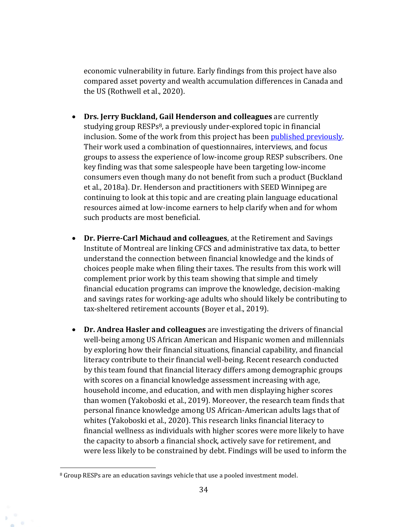economic vulnerability in future. Early findings from this project have also compared asset poverty and wealth accumulation differences in Canada and the US (Rothwell et al., 2020).

- **Drs. Jerry Buckland, Gail Henderson and colleagues** are currently studying group RESPs<sup>8</sup>, a previously under-explored topic in financial inclusion. Some of the work from this project has been [published previously.](http://seedwinnipeg.ca/resources/group-resp-research) Their work used a combination of questionnaires, interviews, and focus groups to assess the experience of low-income group RESP subscribers. One key finding was that some salespeople have been targeting low-income consumers even though many do not benefit from such a product (Buckland et al., 2018a). Dr. Henderson and practitioners with SEED Winnipeg are continuing to look at this topic and are creating plain language educational resources aimed at low-income earners to help clarify when and for whom such products are most beneficial.
- **Dr. Pierre-Carl Michaud and colleagues**, at the Retirement and Savings Institute of Montreal are linking CFCS and administrative tax data, to better understand the connection between financial knowledge and the kinds of choices people make when filing their taxes. The results from this work will complement prior work by this team showing that simple and timely financial education programs can improve the knowledge, decision-making and savings rates for working-age adults who should likely be contributing to tax-sheltered retirement accounts (Boyer et al., 2019).
- **Dr. Andrea Hasler and colleagues** are investigating the drivers of financial well-being among US African American and Hispanic women and millennials by exploring how their financial situations, financial capability, and financial literacy contribute to their financial well-being. Recent research conducted by this team found that financial literacy differs among demographic groups with scores on a financial knowledge assessment increasing with age, household income, and education, and with men displaying higher scores than women (Yakoboski et al., 2019). Moreover, the research team finds that personal finance knowledge among US African-American adults lags that of whites (Yakoboski et al., 2020). This research links financial literacy to financial wellness as individuals with higher scores were more likely to have the capacity to absorb a financial shock, actively save for retirement, and were less likely to be constrained by debt. Findings will be used to inform the

<sup>&</sup>lt;sup>8</sup> Group RESPs are an education savings vehicle that use a pooled investment model.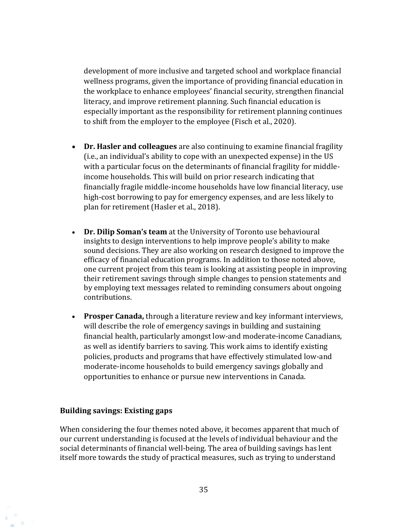development of more inclusive and targeted school and workplace financial wellness programs, given the importance of providing financial education in the workplace to enhance employees' financial security, strengthen financial literacy, and improve retirement planning. Such financial education is especially important as the responsibility for retirement planning continues to shift from the employer to the employee (Fisch et al., 2020).

- **Dr. Hasler and colleagues** are also continuing to examine financial fragility (i.e., an individual's ability to cope with an unexpected expense) in the US with a particular focus on the determinants of financial fragility for middleincome households. This will build on prior research indicating that financially fragile middle-income households have low financial literacy, use high-cost borrowing to pay for emergency expenses, and are less likely to plan for retirement (Hasler et al., 2018).
- **Dr. Dilip Soman's team** at the University of Toronto use behavioural insights to design interventions to help improve people's ability to make sound decisions. They are also working on research designed to improve the efficacy of financial education programs. In addition to those noted above, one current project from this team is looking at assisting people in improving their retirement savings through simple changes to pension statements and by employing text messages related to reminding consumers about ongoing contributions.
- **Prosper Canada,** through a literature review and key informant interviews, will describe the role of emergency savings in building and sustaining financial health, particularly amongst low-and moderate-income Canadians, as well as identify barriers to saving. This work aims to identify existing policies, products and programs that have effectively stimulated low-and moderate-income households to build emergency savings globally and opportunities to enhance or pursue new interventions in Canada.

#### **Building savings: Existing gaps**

When considering the four themes noted above, it becomes apparent that much of our current understanding is focused at the levels of individual behaviour and the social determinants of financial well-being. The area of building savings has lent itself more towards the study of practical measures, such as trying to understand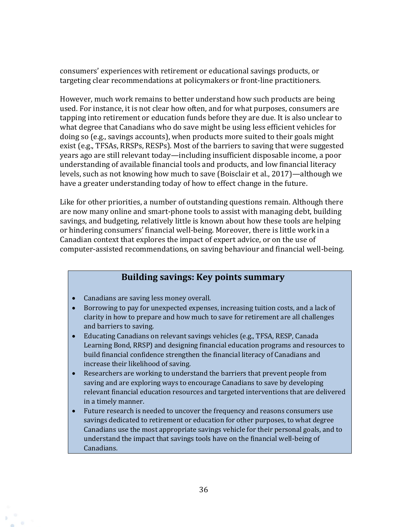consumers' experiences with retirement or educational savings products, or targeting clear recommendations at policymakers or front-line practitioners.

However, much work remains to better understand how such products are being used. For instance, it is not clear how often, and for what purposes, consumers are tapping into retirement or education funds before they are due. It is also unclear to what degree that Canadians who do save might be using less efficient vehicles for doing so (e.g., savings accounts), when products more suited to their goals might exist (e.g., TFSAs, RRSPs, RESPs). Most of the barriers to saving that were suggested years ago are still relevant today—including insufficient disposable income, a poor understanding of available financial tools and products, and low financial literacy levels, such as not knowing how much to save (Boisclair et al., 2017)—although we have a greater understanding today of how to effect change in the future.

Like for other priorities, a number of outstanding questions remain. Although there are now many online and smart-phone tools to assist with managing debt, building savings, and budgeting, relatively little is known about how these tools are helping or hindering consumers' financial well-being. Moreover, there is little work in a Canadian context that explores the impact of expert advice, or on the use of computer-assisted recommendations, on saving behaviour and financial well-being.

### **Building savings: Key points summary**

- Canadians are saving less money overall.
- Borrowing to pay for unexpected expenses, increasing tuition costs, and a lack of clarity in how to prepare and how much to save for retirement are all challenges and barriers to saving.
- Educating Canadians on relevant savings vehicles (e.g., TFSA, RESP, Canada Learning Bond, RRSP) and designing financial education programs and resources to build financial confidence strengthen the financial literacy of Canadians and increase their likelihood of saving.
- Researchers are working to understand the barriers that prevent people from saving and are exploring ways to encourage Canadians to save by developing relevant financial education resources and targeted interventions that are delivered in a timely manner.
- Future research is needed to uncover the frequency and reasons consumers use savings dedicated to retirement or education for other purposes, to what degree Canadians use the most appropriate savings vehicle for their personal goals, and to understand the impact that savings tools have on the financial well-being of Canadians.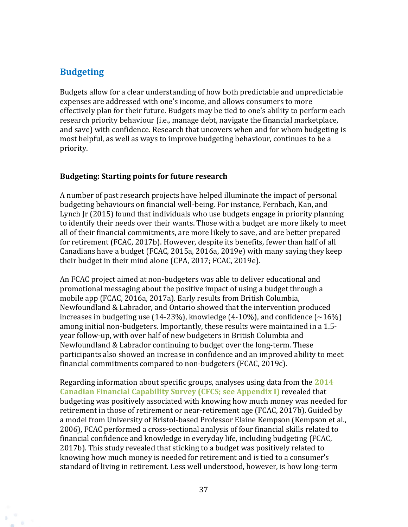### <span id="page-36-0"></span>**Budgeting**

Budgets allow for a clear understanding of how both predictable and unpredictable expenses are addressed with one's income, and allows consumers to more effectively plan for their future. Budgets may be tied to one's ability to perform each research priority behaviour (i.e., manage debt, navigate the financial marketplace, and save) with confidence. Research that uncovers when and for whom budgeting is most helpful, as well as ways to improve budgeting behaviour, continues to be a priority.

#### **Budgeting: Starting points for future research**

A number of past research projects have helped illuminate the impact of personal budgeting behaviours on financial well-being. For instance, Fernbach, Kan, and Lynch Jr (2015) found that individuals who use budgets engage in priority planning to identify their needs over their wants. Those with a budget are more likely to meet all of their financial commitments, are more likely to save, and are better prepared for retirement (FCAC, 2017b). However, despite its benefits, fewer than half of all Canadians have a budget (FCAC, 2015a, 2016a, 2019e) with many saying they keep their budget in their mind alone (CPA, 2017; FCAC, 2019e).

An FCAC project aimed at non-budgeters was able to deliver educational and promotional messaging about the positive impact of using a budget through a mobile app (FCAC, 2016a, 2017a). Early results from British Columbia, Newfoundland & Labrador, and Ontario showed that the intervention produced increases in budgeting use (14-23%), knowledge (4-10%), and confidence  $\left(\sim\!16\%\right)$ among initial non-budgeters. Importantly, these results were maintained in a 1.5 year follow-up, with over half of new budgeters in British Columbia and Newfoundland & Labrador continuing to budget over the long-term. These participants also showed an increase in confidence and an improved ability to meet financial commitments compared to non-budgeters (FCAC, 2019c).

Regarding information about specific groups, analyses using data from the **2014 Canadian Financial Capability Survey (CFCS; see Appendix I)** revealed that budgeting was positively associated with knowing how much money was needed for retirement in those of retirement or near-retirement age (FCAC, 2017b). Guided by a model from University of Bristol-based Professor Elaine Kempson (Kempson et al., 2006), FCAC performed a cross-sectional analysis of four financial skills related to financial confidence and knowledge in everyday life, including budgeting (FCAC, 2017b). This study revealed that sticking to a budget was positively related to knowing how much money is needed for retirement and is tied to a consumer's standard of living in retirement. Less well understood, however, is how long-term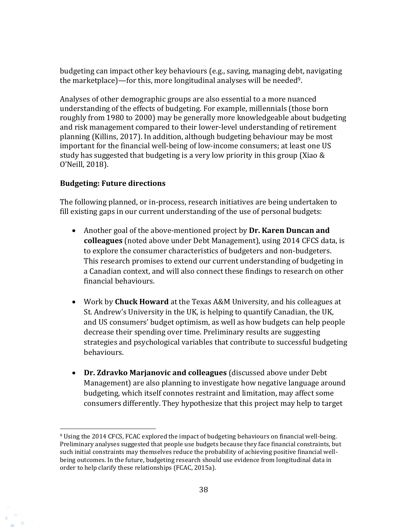budgeting can impact other key behaviours (e.g., saving, managing debt, navigating the marketplace)—for this, more longitudinal analyses will be needed<sup>9</sup>.

Analyses of other demographic groups are also essential to a more nuanced understanding of the effects of budgeting. For example, millennials (those born roughly from 1980 to 2000) may be generally more knowledgeable about budgeting and risk management compared to their lower-level understanding of retirement planning (Killins, 2017). In addition, although budgeting behaviour may be most important for the financial well-being of low-income consumers; at least one US study has suggested that budgeting is a very low priority in this group (Xiao & O'Neill, 2018).

#### **Budgeting: Future directions**

The following planned, or in-process, research initiatives are being undertaken to fill existing gaps in our current understanding of the use of personal budgets:

- Another goal of the above-mentioned project by **Dr. Karen Duncan and colleagues** (noted above under Debt Management), using 2014 CFCS data, is to explore the consumer characteristics of budgeters and non-budgeters. This research promises to extend our current understanding of budgeting in a Canadian context, and will also connect these findings to research on other financial behaviours.
- Work by **Chuck Howard** at the Texas A&M University, and his colleagues at St. Andrew's University in the UK, is helping to quantify Canadian, the UK, and US consumers' budget optimism, as well as how budgets can help people decrease their spending over time. Preliminary results are suggesting strategies and psychological variables that contribute to successful budgeting behaviours.
- **Dr. Zdravko Marjanovic and colleagues** (discussed above under Debt Management) are also planning to investigate how negative language around budgeting, which itself connotes restraint and limitation, may affect some consumers differently. They hypothesize that this project may help to target

<sup>9</sup> Using the 2014 CFCS, FCAC explored the impact of budgeting behaviours on financial well-being. Preliminary analyses suggested that people use budgets because they face financial constraints, but such initial constraints may themselves reduce the probability of achieving positive financial wellbeing outcomes. In the future, budgeting research should use evidence from longitudinal data in order to help clarify these relationships (FCAC, 2015a).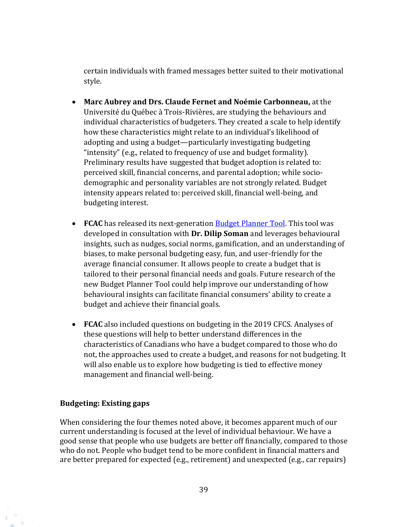certain individuals with framed messages better suited to their motivational style.

- **Marc Aubrey and Drs. Claude Fernet and Noémie Carbonneau,** at the Université du Québec à Trois-Rivières, are studying the behaviours and individual characteristics of budgeters. They created a scale to help identify how these characteristics might relate to an individual's likelihood of adopting and using a budget—particularly investigating budgeting "intensity" (e.g., related to frequency of use and budget formality). Preliminary results have suggested that budget adoption is related to: perceived skill, financial concerns, and parental adoption; while sociodemographic and personality variables are not strongly related. Budget intensity appears related to: perceived skill, financial well-being, and budgeting interest.
- **FCAC** has released its next-generation [Budget Planner Tool.](https://itools-ioutils.fcac-acfc.gc.ca/bp-pb/default-eng.aspx) This tool was developed in consultation with **Dr. Dilip Soman** and leverages behavioural insights, such as nudges, social norms, gamification, and an understanding of biases, to make personal budgeting easy, fun, and user-friendly for the average financial consumer. It allows people to create a budget that is tailored to their personal financial needs and goals. Future research of the new Budget Planner Tool could help improve our understanding of how behavioural insights can facilitate financial consumers' ability to create a budget and achieve their financial goals.
- **FCAC** also included questions on budgeting in the 2019 CFCS. Analyses of these questions will help to better understand differences in the characteristics of Canadians who have a budget compared to those who do not, the approaches used to create a budget, and reasons for not budgeting. It will also enable us to explore how budgeting is tied to effective money management and financial well-being.

#### **Budgeting: Existing gaps**

When considering the four themes noted above, it becomes apparent much of our current understanding is focused at the level of individual behaviour. We have a good sense that people who use budgets are better off financially, compared to those who do not. People who budget tend to be more confident in financial matters and are better prepared for expected (e.g., retirement) and unexpected (e.g., car repairs)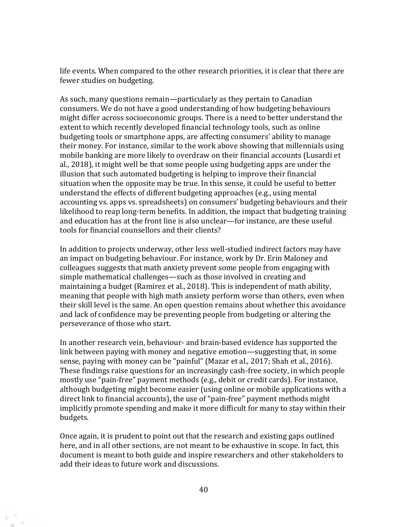life events. When compared to the other research priorities, it is clear that there are fewer studies on budgeting.

As such, many questions remain—particularly as they pertain to Canadian consumers. We do not have a good understanding of how budgeting behaviours might differ across socioeconomic groups. There is a need to better understand the extent to which recently developed financial technology tools, such as online budgeting tools or smartphone apps, are affecting consumers' ability to manage their money. For instance, similar to the work above showing that millennials using mobile banking are more likely to overdraw on their financial accounts (Lusardi et al., 2018), it might well be that some people using budgeting apps are under the illusion that such automated budgeting is helping to improve their financial situation when the opposite may be true. In this sense, it could be useful to better understand the effects of different budgeting approaches (e.g., using mental accounting vs. apps vs. spreadsheets) on consumers' budgeting behaviours and their likelihood to reap long-term benefits. In addition, the impact that budgeting training and education has at the front line is also unclear—for instance, are these useful tools for financial counsellors and their clients?

In addition to projects underway, other less well-studied indirect factors may have an impact on budgeting behaviour. For instance, work by Dr. Erin Maloney and colleagues suggests that math anxiety prevent some people from engaging with simple mathematical challenges—such as those involved in creating and maintaining a budget (Ramirez et al., 2018). This is independent of math ability, meaning that people with high math anxiety perform worse than others, even when their skill level is the same. An open question remains about whether this avoidance and lack of confidence may be preventing people from budgeting or altering the perseverance of those who start.

In another research vein, behaviour- and brain-based evidence has supported the link between paying with money and negative emotion—suggesting that, in some sense, paying with money can be "painful" (Mazar et al., 2017; Shah et al., 2016). These findings raise questions for an increasingly cash-free society, in which people mostly use "pain-free" payment methods (e.g., debit or credit cards). For instance, although budgeting might become easier (using online or mobile applications with a direct link to financial accounts), the use of "pain-free" payment methods might implicitly promote spending and make it more difficult for many to stay within their budgets.

Once again, it is prudent to point out that the research and existing gaps outlined here, and in all other sections, are not meant to be exhaustive in scope. In fact, this document is meant to both guide and inspire researchers and other stakeholders to add their ideas to future work and discussions.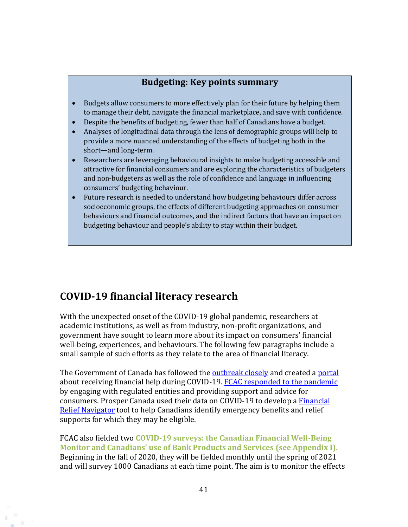### **Budgeting: Key points summary**

- Budgets allow consumers to more effectively plan for their future by helping them to manage their debt, navigate the financial marketplace, and save with confidence.
- Despite the benefits of budgeting, fewer than half of Canadians have a budget.
- Analyses of longitudinal data through the lens of demographic groups will help to provide a more nuanced understanding of the effects of budgeting both in the short—and long-term.
- Researchers are leveraging behavioural insights to make budgeting accessible and attractive for financial consumers and are exploring the characteristics of budgeters and non-budgeters as well as the role of confidence and language in influencing consumers' budgeting behaviour.
- Future research is needed to understand how budgeting behaviours differ across socioeconomic groups, the effects of different budgeting approaches on consumer behaviours and financial outcomes, and the indirect factors that have an impact on budgeting behaviour and people's ability to stay within their budget.

# <span id="page-40-0"></span>**COVID-19 financial literacy research**

With the unexpected onset of the COVID-19 global pandemic, researchers at academic institutions, as well as from industry, non-profit organizations, and government have sought to learn more about its impact on consumers' financial well-being, experiences, and behaviours. The following few paragraphs include a small sample of such efforts as they relate to the area of financial literacy.

The Government of Canada has followed the **outbreak closely** and created a [portal](https://covid-benefits.alpha.canada.ca/en/start) about receiving financial help during COVID-19. [FCAC responded to the pandemic](https://www.canada.ca/en/financial-consumer-agency/services/industry/covid-19-how-fcac-responding.html) by engaging with regulated entities and providing support and advice for consumers. Prosper Canada used their data on COVID-19 to develop [a Financial](https://financialreliefnav.prospercanada.org/en)  [Relief Navigator](https://financialreliefnav.prospercanada.org/en) tool to help Canadians identify emergency benefits and relief supports for which they may be eligible.

FCAC also fielded two **COVID-19 surveys: the Canadian Financial Well-Being Monitor and Canadians' use of Bank Products and Services (see Appendix I).**  Beginning in the fall of 2020, they will be fielded monthly until the spring of 2021 and will survey 1000 Canadians at each time point. The aim is to monitor the effects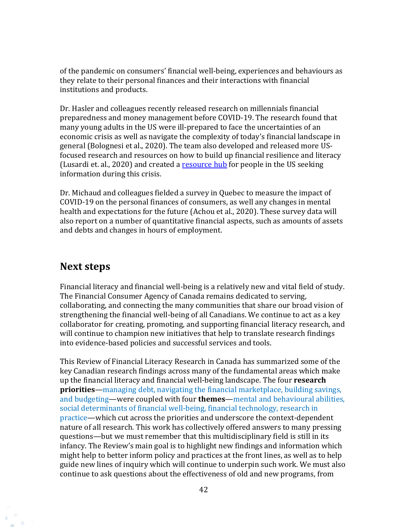of the pandemic on consumers' financial well-being, experiences and behaviours as they relate to their personal finances and their interactions with financial institutions and products.

Dr. Hasler and colleagues recently released research on millennials financial preparedness and money management before COVID-19. The research found that many young adults in the US were ill-prepared to face the uncertainties of an economic crisis as well as navigate the complexity of today's financial landscape in general (Bolognesi et al., 2020). The team also developed and released more USfocused research and resources on how to build up financial resilience and literacy (Lusardi et. al., 2020) and created a [resource hub](https://gflec.org/education/financialresilience/) for people in the US seeking information during this crisis.

Dr. Michaud and colleagues fielded a survey in Quebec to measure the impact of COVID-19 on the personal finances of consumers, as well any changes in mental health and expectations for the future (Achou et al., 2020). These survey data will also report on a number of quantitative financial aspects, such as amounts of assets and debts and changes in hours of employment.

### <span id="page-41-0"></span>**Next steps**

Financial literacy and financial well-being is a relatively new and vital field of study. The Financial Consumer Agency of Canada remains dedicated to serving, collaborating, and connecting the many communities that share our broad vision of strengthening the financial well-being of all Canadians. We continue to act as a key collaborator for creating, promoting, and supporting financial literacy research, and will continue to champion new initiatives that help to translate research findings into evidence-based policies and successful services and tools.

This Review of Financial Literacy Research in Canada has summarized some of the key Canadian research findings across many of the fundamental areas which make up the financial literacy and financial well-being landscape. The four **research priorities**—managing debt, navigating the financial marketplace, building savings, and budgeting—were coupled with four **themes**—mental and behavioural abilities, social determinants of financial well-being, financial technology, research in practice—which cut across the priorities and underscore the context-dependent nature of all research. This work has collectively offered answers to many pressing questions—but we must remember that this multidisciplinary field is still in its infancy. The Review's main goal is to highlight new findings and information which might help to better inform policy and practices at the front lines, as well as to help guide new lines of inquiry which will continue to underpin such work. We must also continue to ask questions about the effectiveness of old and new programs, from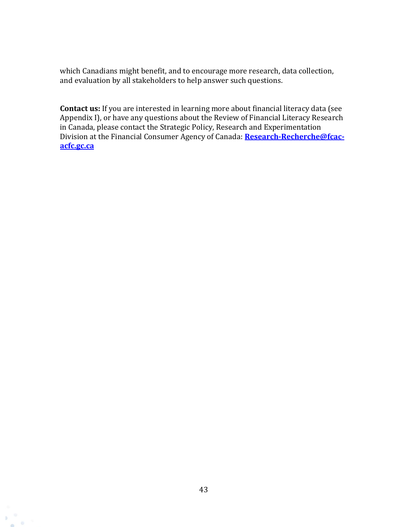which Canadians might benefit, and to encourage more research, data collection, and evaluation by all stakeholders to help answer such questions.

**Contact us:** If you are interested in learning more about financial literacy data (see Appendix I), or have any questions about the Review of Financial Literacy Research in Canada, please contact the Strategic Policy, Research and Experimentation Division at the Financial Consumer Agency of Canada: **[Research-Recherche@fcac](mailto:Research-Recherche@fcac-acfc.gc.ca)[acfc.gc.ca](mailto:Research-Recherche@fcac-acfc.gc.ca)**

b.  $\circ$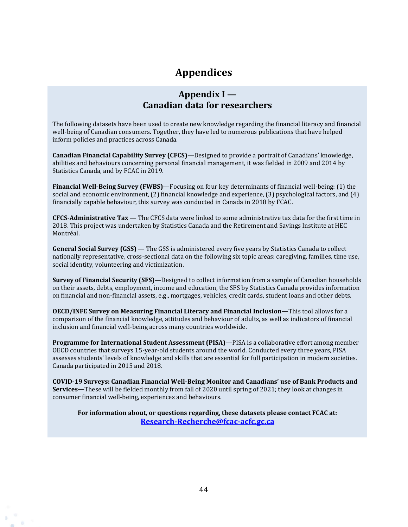# **Appendices**

### **Appendix I — Canadian data for researchers**

<span id="page-43-0"></span>The following datasets have been used to create new knowledge regarding the financial literacy and financial well-being of Canadian consumers. Together, they have led to numerous publications that have helped inform policies and practices across Canada.

**Canadian Financial Capability Survey (CFCS)**—Designed to provide a portrait of Canadians' knowledge, abilities and behaviours concerning personal financial management, it was fielded in 2009 and 2014 by Statistics Canada, and by FCAC in 2019.

**Financial Well-Being Survey (FWBS)**—Focusing on four key determinants of financial well-being: (1) the social and economic environment, (2) financial knowledge and experience, (3) psychological factors, and (4) financially capable behaviour, this survey was conducted in Canada in 2018 by FCAC.

**CFCS-Administrative Tax** — The CFCS data were linked to some administrative tax data for the first time in 2018. This project was undertaken by Statistics Canada and the Retirement and Savings Institute at HEC Montréal.

**General Social Survey (GSS)** — The GSS is administered every five years by Statistics Canada to collect nationally representative, cross-sectional data on the following six topic areas: caregiving, families, time use, social identity, volunteering and victimization.

**Survey of Financial Security (SFS)**—Designed to collect information from a sample of Canadian households on their assets, debts, employment, income and education, the SFS by Statistics Canada provides information on financial and non-financial assets, e.g., mortgages, vehicles, credit cards, student loans and other debts.

**OECD/INFE Survey on Measuring Financial Literacy and Financial Inclusion—**This tool allows for a comparison of the financial knowledge, attitudes and behaviour of adults, as well as indicators of financial inclusion and financial well-being across many countries worldwide.

**Programme for International Student Assessment (PISA)**—PISA is a collaborative effort among member OECD countries that surveys 15-year-old students around the world. Conducted every three years, PISA assesses students' levels of knowledge and skills that are essential for full participation in modern societies. Canada participated in 2015 and 2018.

**COVID-19 Surveys: Canadian Financial Well-Being Monitor and Canadians' use of Bank Products and Services—**These will be fielded monthly from fall of 2020 until spring of 2021; they look at changes in consumer financial well-being, experiences and behaviours.

**For information about, or questions regarding, these datasets please contact FCAC at: [Research-Recherche@fcac-acfc.gc.ca](mailto:Research-Recherche@fcac-acfc.gc.ca)**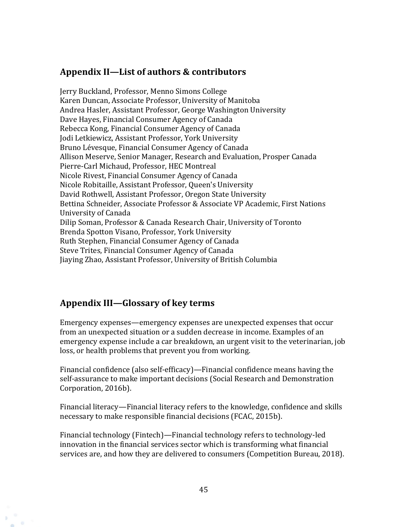### **Appendix II—List of authors & contributors**

Jerry Buckland, Professor, Menno Simons College Karen Duncan, Associate Professor, University of Manitoba Andrea Hasler, Assistant Professor, George Washington University Dave Hayes, Financial Consumer Agency of Canada Rebecca Kong, Financial Consumer Agency of Canada Jodi Letkiewicz, Assistant Professor, York University Bruno Lévesque, Financial Consumer Agency of Canada Allison Meserve, Senior Manager, Research and Evaluation, Prosper Canada Pierre-Carl Michaud, Professor, HEC Montreal Nicole Rivest, Financial Consumer Agency of Canada Nicole Robitaille, Assistant Professor, Queen's University David Rothwell, Assistant Professor, Oregon State University Bettina Schneider, Associate Professor & Associate VP Academic, First Nations University of Canada Dilip Soman, Professor & Canada Research Chair, University of Toronto Brenda Spotton Visano, Professor, York University Ruth Stephen, Financial Consumer Agency of Canada Steve Trites, Financial Consumer Agency of Canada Jiaying Zhao, Assistant Professor, University of British Columbia

### **Appendix III—Glossary of key terms**

Emergency expenses—emergency expenses are unexpected expenses that occur from an unexpected situation or a sudden decrease in income. Examples of an emergency expense include a car breakdown, an urgent visit to the veterinarian, job loss, or health problems that prevent you from working.

Financial confidence (also self-efficacy)—Financial confidence means having the self-assurance to make important decisions (Social Research and Demonstration Corporation, 2016b).

Financial literacy—Financial literacy refers to the knowledge, confidence and skills necessary to make responsible financial decisions (FCAC, 2015b).

Financial technology (Fintech)—Financial technology refers to technology-led innovation in the financial services sector which is transforming what financial services are, and how they are delivered to consumers (Competition Bureau, 2018).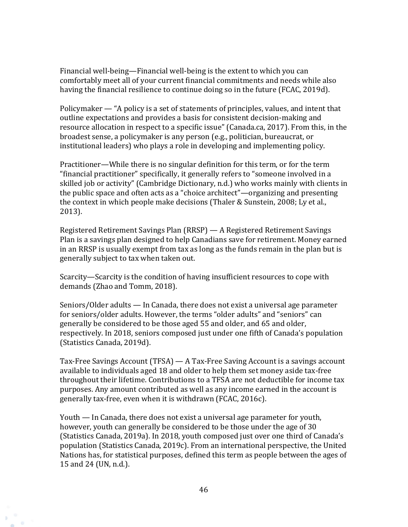Financial well-being—Financial well-being is the extent to which you can comfortably meet all of your current financial commitments and needs while also having the financial resilience to continue doing so in the future (FCAC, 2019d).

Policymaker — "A policy is a set of statements of principles, values, and intent that outline expectations and provides a basis for consistent decision-making and resource allocation in respect to a specific issue" (Canada.ca, 2017). From this, in the broadest sense, a policymaker is any person (e.g., politician, bureaucrat, or institutional leaders) who plays a role in developing and implementing policy.

Practitioner—While there is no singular definition for this term, or for the term "financial practitioner" specifically, it generally refers to "someone involved in a skilled job or activity" (Cambridge Dictionary, n.d.) who works mainly with clients in the public space and often acts as a "choice architect"—organizing and presenting the context in which people make decisions (Thaler & Sunstein, 2008; Ly et al., 2013).

Registered Retirement Savings Plan (RRSP) — A Registered Retirement Savings Plan is a savings plan designed to help Canadians save for retirement. Money earned in an RRSP is usually exempt from tax as long as the funds remain in the plan but is generally subject to tax when taken out.

Scarcity—Scarcity is the condition of having insufficient resources to cope with demands (Zhao and Tomm, 2018).

Seniors/Older adults — In Canada, there does not exist a universal age parameter for seniors/older adults. However, the terms "older adults" and "seniors" can generally be considered to be those aged 55 and older, and 65 and older, respectively. In 2018, seniors composed just under one fifth of Canada's population (Statistics Canada, 2019d).

Tax-Free Savings Account (TFSA) — A Tax-Free Saving Account is a savings account available to individuals aged 18 and older to help them set money aside tax-free throughout their lifetime. Contributions to a TFSA are not deductible for income tax purposes. Any amount contributed as well as any income earned in the account is generally tax-free, even when it is withdrawn (FCAC, 2016c).

Youth — In Canada, there does not exist a universal age parameter for youth, however, youth can generally be considered to be those under the age of 30 (Statistics Canada, 2019a). In 2018, youth composed just over one third of Canada's population (Statistics Canada, 2019c). From an international perspective, the United Nations has, for statistical purposes, defined this term as people between the ages of 15 and 24 (UN, n.d.).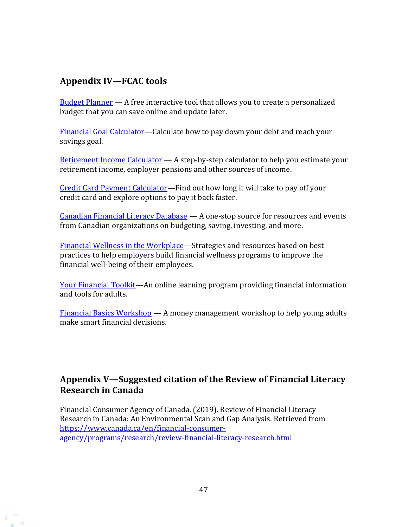### **Appendix IV—FCAC tools**

 $65$ 

 $Budget$  Planner  $-$  A free interactive tool that allows you to create a personalized budget that you can save online and update later.

[Financial Goal Calculator](https://itools-ioutils.fcac-acfc.gc.ca/FGC-COF/home-accueil-eng.aspx)—Calculate how to pay down your debt and reach your savings goal.

[Retirement Income Calculator](https://www.canada.ca/en/services/benefits/publicpensions/cpp/retirement-income-calculator.html) — A step-by-step calculator to help you estimate your retirement income, employer pensions and other sources of income.

[Credit Card Payment Calculator](http://itools-ioutils.fcac-acfc.gc.ca/CCPC-CPCC/CCPC-CPCC-eng.aspx)—Find out how long it will take to pay off your credit card and explore options to pay it back faster.

[Canadian Financial Literacy Database](https://canada-preview.adobecqms.net/en/financial-consumer-agency/services/financial-literacy-database.html) — A one-stop source for resources and events from Canadian organizations on budgeting, saving, investing, and more.

[Financial Wellness in the Workplace](https://www.canada.ca/en/financial-consumer-agency/services/financial-wellness-work.html)-Strategies and resources based on best practices to help employers build financial wellness programs to improve the financial well-being of their employees.

[Your Financial Toolkit](https://www.canada.ca/en/financial-consumer-agency/services/financial-toolkit.html)—An online learning program providing financial information and tools for adults.

[Financial Basics Workshop](https://www.canada.ca/en/financial-consumer-agency/services/financial-basics.html) — A money management workshop to help young adults make smart financial decisions.

### **Appendix V—Suggested citation of the Review of Financial Literacy Research in Canada**

Financial Consumer Agency of Canada. (2019). Review of Financial Literacy Research in Canada: An Environmental Scan and Gap Analysis. Retrieved from [https://www.canada.ca/en/financial-consumer](https://www.canada.ca/en/financial-consumer-agency/programs/research/review-financial-literacy-research.html)[agency/programs/research/review-financial-literacy-research.html](https://www.canada.ca/en/financial-consumer-agency/programs/research/review-financial-literacy-research.html)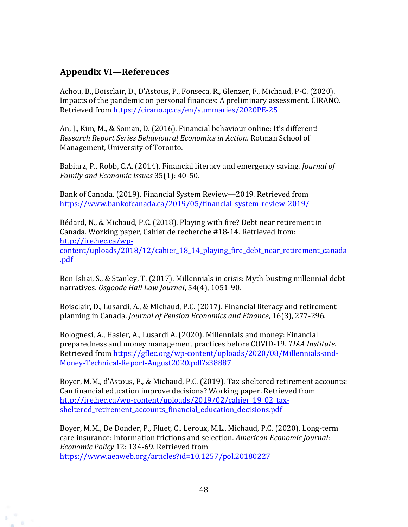### **Appendix VI—References**

 $65 -$ 

Achou, B., Boisclair, D., D'Astous, P., Fonseca, R., Glenzer, F., Michaud, P-C. (2020). Impacts of the pandemic on personal finances: A preliminary assessment. CIRANO. Retrieved from<https://cirano.qc.ca/en/summaries/2020PE-25>

An, J., Kim, M., & Soman, D. (2016). Financial behaviour online: It's different! *Research Report Series Behavioural Economics in Action*. Rotman School of Management, University of Toronto.

Babiarz, P., Robb, C.A. (2014). Financial literacy and emergency saving. *Journal of Family and Economic Issues* 35(1): 40-50.

Bank of Canada. (2019). Financial System Review—2019*.* Retrieved from <https://www.bankofcanada.ca/2019/05/financial-system-review-2019/>

Bédard, N., & Michaud, P.C. (2018). Playing with fire? Debt near retirement in Canada. Working paper, Cahier de recherche #18-14. Retrieved from: [http://ire.hec.ca/wp](http://ire.hec.ca/wp-content/uploads/2018/12/cahier_18_14_playing_fire_debt_near_retirement_canada.pdf)content/uploads/2018/12/cahier 18 14 playing fire debt near retirement canada [.pdf](http://ire.hec.ca/wp-content/uploads/2018/12/cahier_18_14_playing_fire_debt_near_retirement_canada.pdf)

Ben-Ishai, S., & Stanley, T. (2017). Millennials in crisis: Myth-busting millennial debt narratives. *Osgoode Hall Law Journal*, 54(4), 1051-90.

Boisclair, D., Lusardi, A., & Michaud, P.C. (2017). Financial literacy and retirement planning in Canada. *Journal of Pension Economics and Finance*, 16(3), 277-296.

Bolognesi, A., Hasler, A., Lusardi A. (2020). Millennials and money: Financial preparedness and money management practices before COVID-19. *TIAA Institute.* Retrieved from [https://gflec.org/wp-content/uploads/2020/08/Millennials-and-](https://gflec.org/wp-content/uploads/2020/08/Millennials-and-Money-Technical-Report-August2020.pdf?x38887)[Money-Technical-Report-August2020.pdf?x38887](https://gflec.org/wp-content/uploads/2020/08/Millennials-and-Money-Technical-Report-August2020.pdf?x38887)

Boyer, M.M., d'Astous, P., & Michaud, P.C. (2019). Tax-sheltered retirement accounts: Can financial education improve decisions? Working paper. Retrieved from http://ire.hec.ca/wp-content/uploads/2019/02/cahier 19\_02\_taxsheltered retirement accounts financial education decisions.pdf

Boyer, M.M., De Donder, P., Fluet, C., Leroux, M.L., Michaud, P.C. (2020). Long-term care insurance: Information frictions and selection. *American Economic Journal: Economic Policy* 12: 134-69. Retrieved from <https://www.aeaweb.org/articles?id=10.1257/pol.20180227>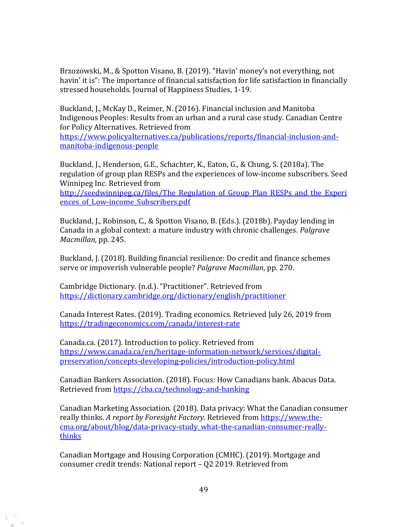Brzozowski, M., & Spotton Visano, B. (2019). "Havin' money's not everything, not havin' it is": The importance of financial satisfaction for life satisfaction in financially stressed households. Journal of Happiness Studies, 1-19.

Buckland, J., McKay D., Reimer, N. (2016). Financial inclusion and Manitoba Indigenous Peoples: Results from an urban and a rural case study. Canadian Centre for Policy Alternatives. Retrieved from

[https://www.policyalternatives.ca/publications/reports/financial-inclusion-and](https://www.policyalternatives.ca/publications/reports/financial-inclusion-and-manitoba-indigenous-people)[manitoba-indigenous-people](https://www.policyalternatives.ca/publications/reports/financial-inclusion-and-manitoba-indigenous-people)

Buckland, J., Henderson, G.E., Schachter, K., Eaton, G., & Chung, S. (2018a). The regulation of group plan RESPs and the experiences of low-income subscribers. Seed Winnipeg Inc. Retrieved from

http://seedwinnipeg.ca/files/The Regulation of Group Plan RESPs and the Experi ences of Low-income Subscribers.pdf

Buckland, J., Robinson, C., & Spotton Visano, B. (Eds.). (2018b). Payday lending in Canada in a global context: a mature industry with chronic challenges. *Palgrave Macmillan*, pp. 245.

Buckland, J. (2018). Building financial resilience: Do credit and finance schemes serve or impoverish vulnerable people? *Palgrave Macmillan*, pp. 270.

Cambridge Dictionary. (n.d.). "Practitioner". Retrieved from <https://dictionary.cambridge.org/dictionary/english/practitioner>

Canada Interest Rates. (2019). Trading economics. Retrieved July 26, 2019 from <https://tradingeconomics.com/canada/interest-rate>

Canada.ca. (2017). Introduction to policy. Retrieved from [https://www.canada.ca/en/heritage-information-network/services/digital](https://www.canada.ca/en/heritage-information-network/services/digital-preservation/concepts-developing-policies/introduction-policy.html)[preservation/concepts-developing-policies/introduction-policy.html](https://www.canada.ca/en/heritage-information-network/services/digital-preservation/concepts-developing-policies/introduction-policy.html)

Canadian Bankers Association. (2018). Focus: How Canadians bank. Abacus Data. Retrieved from<https://cba.ca/technology-and-banking>

Canadian Marketing Association. (2018). Data privacy: What the Canadian consumer really thinks. *A report by Foresight Factory.* Retrieved from [https://www.the](https://www.the-cma.org/about/blog/data-privacy-study_what-the-canadian-consumer-really-thinks)[cma.org/about/blog/data-privacy-study\\_what-the-canadian-consumer-really](https://www.the-cma.org/about/blog/data-privacy-study_what-the-canadian-consumer-really-thinks)[thinks](https://www.the-cma.org/about/blog/data-privacy-study_what-the-canadian-consumer-really-thinks) 

Canadian Mortgage and Housing Corporation (CMHC). (2019). Mortgage and consumer credit trends: National report – Q2 2019. Retrieved from

 $65$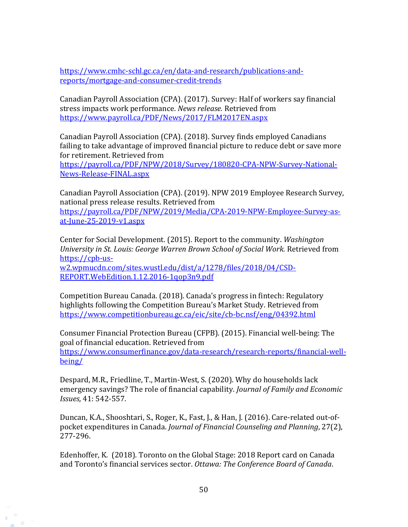[https://www.cmhc-schl.gc.ca/en/data-and-research/publications-and](https://www.cmhc-schl.gc.ca/en/data-and-research/publications-and-reports/mortgage-and-consumer-credit-trends)[reports/mortgage-and-consumer-credit-trends](https://www.cmhc-schl.gc.ca/en/data-and-research/publications-and-reports/mortgage-and-consumer-credit-trends)

Canadian Payroll Association (CPA). (2017). Survey: Half of workers say financial stress impacts work performance. *News release.* Retrieved from <https://www.payroll.ca/PDF/News/2017/FLM2017EN.aspx>

Canadian Payroll Association (CPA). (2018). Survey finds employed Canadians failing to take advantage of improved financial picture to reduce debt or save more for retirement. Retrieved from

[https://payroll.ca/PDF/NPW/2018/Survey/180820-CPA-NPW-Survey-National-](https://payroll.ca/PDF/NPW/2018/Survey/180820-CPA-NPW-Survey-National-News-Release-FINAL.aspx)[News-Release-FINAL.aspx](https://payroll.ca/PDF/NPW/2018/Survey/180820-CPA-NPW-Survey-National-News-Release-FINAL.aspx)

Canadian Payroll Association (CPA). (2019). NPW 2019 Employee Research Survey, national press release results. Retrieved from [https://payroll.ca/PDF/NPW/2019/Media/CPA-2019-NPW-Employee-Survey-as](https://payroll.ca/PDF/NPW/2019/Media/CPA-2019-NPW-Employee-Survey-as-at-June-25-2019-v1.aspx)[at-June-25-2019-v1.aspx](https://payroll.ca/PDF/NPW/2019/Media/CPA-2019-NPW-Employee-Survey-as-at-June-25-2019-v1.aspx)

Center for Social Development. (2015). Report to the community. *Washington University in St. Louis: George Warren Brown School of Social Work.* Retrieved from [https://cpb-us](https://cpb-us-w2.wpmucdn.com/sites.wustl.edu/dist/a/1278/files/2018/04/CSD-REPORT.WebEdition.1.12.2016-1qop3n9.pdf)[w2.wpmucdn.com/sites.wustl.edu/dist/a/1278/files/2018/04/CSD-](https://cpb-us-w2.wpmucdn.com/sites.wustl.edu/dist/a/1278/files/2018/04/CSD-REPORT.WebEdition.1.12.2016-1qop3n9.pdf)

[REPORT.WebEdition.1.12.2016-1qop3n9.pdf](https://cpb-us-w2.wpmucdn.com/sites.wustl.edu/dist/a/1278/files/2018/04/CSD-REPORT.WebEdition.1.12.2016-1qop3n9.pdf)

 $65 -$ 

Competition Bureau Canada. (2018). Canada's progress in fintech: Regulatory highlights following the Competition Bureau's Market Study. Retrieved from <https://www.competitionbureau.gc.ca/eic/site/cb-bc.nsf/eng/04392.html>

Consumer Financial Protection Bureau (CFPB). (2015). Financial well-being: The goal of financial education. Retrieved from [https://www.consumerfinance.gov/data-research/research-reports/financial-well](https://www.consumerfinance.gov/data-research/research-reports/financial-well-being/)[being/](https://www.consumerfinance.gov/data-research/research-reports/financial-well-being/)

Despard, M.R., Friedline, T., Martin-West, S. (2020). Why do households lack emergency savings? The role of financial capability. *Journal of Family and Economic Issues,* 41: 542-557.

Duncan, K.A., Shooshtari, S., Roger, K., Fast, J., & Han, J. (2016). Care-related out-ofpocket expenditures in Canada. *Journal of Financial Counseling and Planning*, 27(2), 277-296.

Edenhoffer, K. (2018). Toronto on the Global Stage: 2018 Report card on Canada and Toronto's financial services sector. *Ottawa: The Conference Board of Canada*.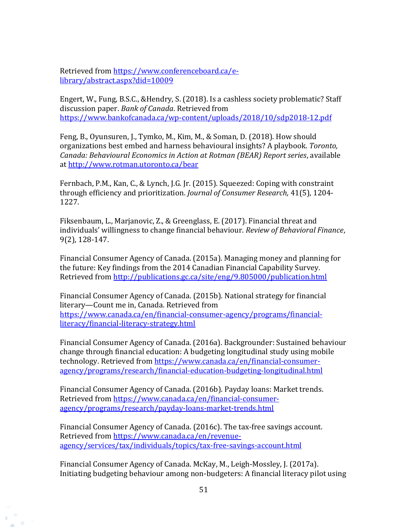Retrieved from [https://www.conferenceboard.ca/e](https://www.conferenceboard.ca/e-library/abstract.aspx?did=10009)[library/abstract.aspx?did=10009](https://www.conferenceboard.ca/e-library/abstract.aspx?did=10009)

Engert, W., Fung, B.S.C., &Hendry, S. (2018). Is a cashless society problematic? Staff discussion paper. *Bank of Canada*. Retrieved from <https://www.bankofcanada.ca/wp-content/uploads/2018/10/sdp2018-12.pdf>

Feng, B., Oyunsuren, J., Tymko, M., Kim, M., & Soman, D. (2018). How should organizations best embed and harness behavioural insights? A playbook. *Toronto, Canada: Behavioural Economics in Action at Rotman (BEAR) Report series*, available at<http://www.rotman.utoronto.ca/bear>

Fernbach, P.M., Kan, C., & Lynch, J.G. Jr. (2015). Squeezed: Coping with constraint through efficiency and prioritization. *Journal of Consumer Research,* 41(5), 1204- 1227.

Fiksenbaum, L., Marjanovic, Z., & Greenglass, E. (2017). Financial threat and individuals' willingness to change financial behaviour. *Review of Behavioral Finance*, 9(2), 128-147.

Financial Consumer Agency of Canada. (2015a). Managing money and planning for the future: Key findings from the 2014 Canadian Financial Capability Survey*.*  Retrieved from<http://publications.gc.ca/site/eng/9.805000/publication.html>

Financial Consumer Agency of Canada. (2015b). National strategy for financial literary—Count me in, Canada*.* Retrieved from [https://www.canada.ca/en/financial-consumer-agency/programs/financial](https://www.canada.ca/en/financial-consumer-agency/programs/financial-literacy/financial-literacy-strategy.html)[literacy/financial-literacy-strategy.html](https://www.canada.ca/en/financial-consumer-agency/programs/financial-literacy/financial-literacy-strategy.html)

Financial Consumer Agency of Canada. (2016a). Backgrounder: Sustained behaviour change through financial education: A budgeting longitudinal study using mobile technology. Retrieved from [https://www.canada.ca/en/financial-consumer](https://www.canada.ca/en/financial-consumer-agency/programs/research/financial-education-budgeting-longitudinal.html)[agency/programs/research/financial-education-budgeting-longitudinal.html](https://www.canada.ca/en/financial-consumer-agency/programs/research/financial-education-budgeting-longitudinal.html)

Financial Consumer Agency of Canada. (2016b). Payday loans: Market trends. Retrieved from [https://www.canada.ca/en/financial-consumer](https://www.canada.ca/en/financial-consumer-agency/programs/research/payday-loans-market-trends.html)[agency/programs/research/payday-loans-market-trends.html](https://www.canada.ca/en/financial-consumer-agency/programs/research/payday-loans-market-trends.html)

Financial Consumer Agency of Canada. (2016c). The tax-free savings account. Retrieved from [https://www.canada.ca/en/revenue](https://www.canada.ca/en/revenue-agency/services/tax/individuals/topics/tax-free-savings-account.html)[agency/services/tax/individuals/topics/tax-free-savings-account.html](https://www.canada.ca/en/revenue-agency/services/tax/individuals/topics/tax-free-savings-account.html)

 $65$ 

Financial Consumer Agency of Canada. McKay, M., Leigh-Mossley, J. (2017a). Initiating budgeting behaviour among non-budgeters: A financial literacy pilot using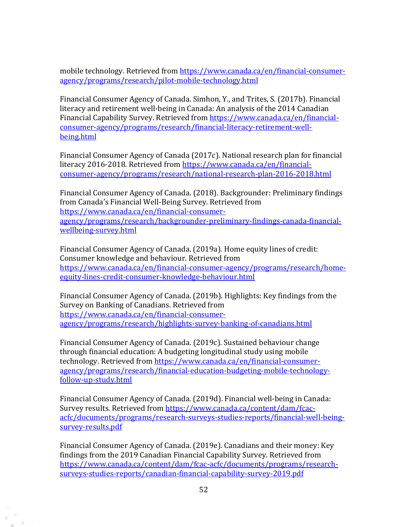mobile technology. Retrieved from [https://www.canada.ca/en/financial-consumer](https://www.canada.ca/en/financial-consumer-agency/programs/research/pilot-mobile-technology.html)[agency/programs/research/pilot-mobile-technology.html](https://www.canada.ca/en/financial-consumer-agency/programs/research/pilot-mobile-technology.html)

Financial Consumer Agency of Canada. Simhon, Y., and Trites, S. (2017b). Financial literacy and retirement well-being in Canada: An analysis of the 2014 Canadian Financial Capability Survey. Retrieved fro[m https://www.canada.ca/en/financial](https://www.canada.ca/en/financial-consumer-agency/programs/research/financial-literacy-retirement-well-being.html)[consumer-agency/programs/research/financial-literacy-retirement-well](https://www.canada.ca/en/financial-consumer-agency/programs/research/financial-literacy-retirement-well-being.html)[being.html](https://www.canada.ca/en/financial-consumer-agency/programs/research/financial-literacy-retirement-well-being.html)

Financial Consumer Agency of Canada (2017c). National research plan for financial literacy 2016-2018. Retrieved from [https://www.canada.ca/en/financial](https://www.canada.ca/en/financial-consumer-agency/programs/research/national-research-plan-2016-2018.html)[consumer-agency/programs/research/national-research-plan-2016-2018.html](https://www.canada.ca/en/financial-consumer-agency/programs/research/national-research-plan-2016-2018.html)

Financial Consumer Agency of Canada. (2018). Backgrounder: Preliminary findings from Canada's Financial Well-Being Survey. Retrieved from [https://www.canada.ca/en/financial-consumer](https://www.canada.ca/en/financial-consumer-agency/programs/research/backgrounder-preliminary-findings-canada-financial-wellbeing-survey.html)[agency/programs/research/backgrounder-preliminary-findings-canada-financial](https://www.canada.ca/en/financial-consumer-agency/programs/research/backgrounder-preliminary-findings-canada-financial-wellbeing-survey.html)[wellbeing-survey.html](https://www.canada.ca/en/financial-consumer-agency/programs/research/backgrounder-preliminary-findings-canada-financial-wellbeing-survey.html)

Financial Consumer Agency of Canada. (2019a). Home equity lines of credit: Consumer knowledge and behaviour. Retrieved from [https://www.canada.ca/en/financial-consumer-agency/programs/research/home](https://www.canada.ca/en/financial-consumer-agency/programs/research/home-equity-lines-credit-consumer-knowledge-behaviour.html)[equity-lines-credit-consumer-knowledge-behaviour.html](https://www.canada.ca/en/financial-consumer-agency/programs/research/home-equity-lines-credit-consumer-knowledge-behaviour.html)

Financial Consumer Agency of Canada. (2019b). Highlights: Key findings from the Survey on Banking of Canadians. Retrieved from [https://www.canada.ca/en/financial-consumer](https://www.canada.ca/en/financial-consumer-agency/programs/research/highlights-survey-banking-of-canadians.html)[agency/programs/research/highlights-survey-banking-of-canadians.html](https://www.canada.ca/en/financial-consumer-agency/programs/research/highlights-survey-banking-of-canadians.html)

Financial Consumer Agency of Canada. (2019c). Sustained behaviour change through financial education: A budgeting longitudinal study using mobile technology. Retrieved from [https://www.canada.ca/en/financial-consumer](https://www.canada.ca/en/financial-consumer-agency/programs/research/financial-education-budgeting-mobile-technology-follow-up-study.html)[agency/programs/research/financial-education-budgeting-mobile-technology](https://www.canada.ca/en/financial-consumer-agency/programs/research/financial-education-budgeting-mobile-technology-follow-up-study.html)[follow-up-study.html](https://www.canada.ca/en/financial-consumer-agency/programs/research/financial-education-budgeting-mobile-technology-follow-up-study.html)

Financial Consumer Agency of Canada. (2019d). Financial well-being in Canada: Survey results. Retrieved from [https://www.canada.ca/content/dam/fcac](https://www.canada.ca/content/dam/fcac-acfc/documents/programs/research-surveys-studies-reports/financial-well-being-survey-results.pdf)[acfc/documents/programs/research-surveys-studies-reports/financial-well-being](https://www.canada.ca/content/dam/fcac-acfc/documents/programs/research-surveys-studies-reports/financial-well-being-survey-results.pdf)[survey-results.pdf](https://www.canada.ca/content/dam/fcac-acfc/documents/programs/research-surveys-studies-reports/financial-well-being-survey-results.pdf)

Financial Consumer Agency of Canada. (2019e). Canadians and their money: Key findings from the 2019 Canadian Financial Capability Survey. Retrieved from [https://www.canada.ca/content/dam/fcac-acfc/documents/programs/research](https://www.canada.ca/content/dam/fcac-acfc/documents/programs/research-surveys-studies-reports/canadian-financial-capability-survey-2019.pdf)[surveys-studies-reports/canadian-financial-capability-survey-2019.pdf](https://www.canada.ca/content/dam/fcac-acfc/documents/programs/research-surveys-studies-reports/canadian-financial-capability-survey-2019.pdf)

 $65$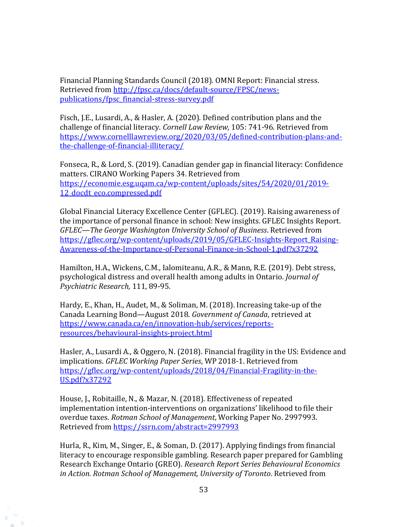Financial Planning Standards Council (2018). OMNI Report: Financial stress. Retrieved from [http://fpsc.ca/docs/default-source/FPSC/news](http://fpsc.ca/docs/default-source/FPSC/news-publications/fpsc_financial-stress-survey.pdf)[publications/fpsc\\_financial-stress-survey.pdf](http://fpsc.ca/docs/default-source/FPSC/news-publications/fpsc_financial-stress-survey.pdf)

Fisch, J.E., Lusardi, A., & Hasler, A. (2020). Defined contribution plans and the challenge of financial literacy. *Cornell Law Review,* 105: 741-96. Retrieved from [https://www.cornelllawreview.org/2020/03/05/defined-contribution-plans-and](https://www.cornelllawreview.org/2020/03/05/defined-contribution-plans-and-the-challenge-of-financial-illiteracy/)[the-challenge-of-financial-illiteracy/](https://www.cornelllawreview.org/2020/03/05/defined-contribution-plans-and-the-challenge-of-financial-illiteracy/)

Fonseca, R., & Lord, S. (2019). Canadian gender gap in financial literacy: Confidence matters. CIRANO Working Papers 34. Retrieved from [https://economie.esg.uqam.ca/wp-content/uploads/sites/54/2020/01/2019-](https://economie.esg.uqam.ca/wp-content/uploads/sites/54/2020/01/2019-12_docdt_eco.compressed.pdf) 12 docdt eco.compressed.pdf

Global Financial Literacy Excellence Center (GFLEC). (2019). Raising awareness of the importance of personal finance in school: New insights. GFLEC Insights Report. *GFLEC—The George Washington University School of Business*. Retrieved from [https://gflec.org/wp-content/uploads/2019/05/GFLEC-Insights-Report\\_Raising-](https://gflec.org/wp-content/uploads/2019/05/GFLEC-Insights-Report_Raising-Awareness-of-the-Importance-of-Personal-Finance-in-School-1.pdf?x37292)[Awareness-of-the-Importance-of-Personal-Finance-in-School-1.pdf?x37292](https://gflec.org/wp-content/uploads/2019/05/GFLEC-Insights-Report_Raising-Awareness-of-the-Importance-of-Personal-Finance-in-School-1.pdf?x37292)

Hamilton, H.A., Wickens, C.M., Ialomiteanu, A.R., & Mann, R.E. (2019). Debt stress, psychological distress and overall health among adults in Ontario. *Journal of Psychiatric Research,* 111, 89-95.

Hardy, E., Khan, H., Audet, M., & Soliman, M. (2018). Increasing take-up of the Canada Learning Bond—August 2018. *Government of Canada*, retrieved at [https://www.canada.ca/en/innovation-hub/services/reports](https://www.canada.ca/en/innovation-hub/services/reports-resources/behavioural-insights-project.html)[resources/behavioural-insights-project.html](https://www.canada.ca/en/innovation-hub/services/reports-resources/behavioural-insights-project.html)

Hasler, A., Lusardi A., & Oggero, N. (2018). Financial fragility in the US: Evidence and implications. *GFLEC Working Paper Series*, WP 2018-1. Retrieved from [https://gflec.org/wp-content/uploads/2018/04/Financial-Fragility-in-the-](https://gflec.org/wp-content/uploads/2018/04/Financial-Fragility-in-the-US.pdf?x37292)[US.pdf?x37292](https://gflec.org/wp-content/uploads/2018/04/Financial-Fragility-in-the-US.pdf?x37292)

House, J., Robitaille, N., & Mazar, N. (2018). Effectiveness of repeated implementation intention-interventions on organizations' likelihood to file their overdue taxes. *Rotman School of Management*, Working Paper No. 2997993. Retrieved from<https://ssrn.com/abstract=2997993>

Hurla, R., Kim, M., Singer, E., & Soman, D. (2017). Applying findings from financial literacy to encourage responsible gambling. Research paper prepared for Gambling Research Exchange Ontario (GREO). *Research Report Series Behavioural Economics in Action. Rotman School of Management, University of Toronto*. Retrieved from

 $65$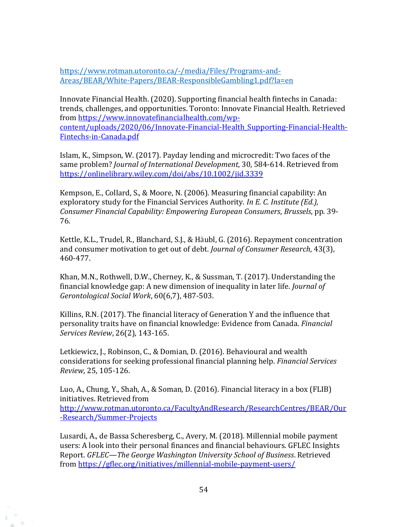[https://www.rotman.utoronto.ca/-/media/Files/Programs-and-](https://www.rotman.utoronto.ca/-/media/Files/Programs-and-Areas/BEAR/White-Papers/BEAR-ResponsibleGambling1.pdf?la=en)[Areas/BEAR/White-Papers/BEAR-ResponsibleGambling1.pdf?la=en](https://www.rotman.utoronto.ca/-/media/Files/Programs-and-Areas/BEAR/White-Papers/BEAR-ResponsibleGambling1.pdf?la=en) 

Innovate Financial Health. (2020). Supporting financial health fintechs in Canada: trends, challenges, and opportunities. Toronto: Innovate Financial Health. Retrieved from [https://www.innovatefinancialhealth.com/wp](https://www.innovatefinancialhealth.com/wp-content/uploads/2020/06/Innovate-Financial-Health_Supporting-Financial-Health-Fintechs-in-Canada.pdf)[content/uploads/2020/06/Innovate-Financial-Health\\_Supporting-Financial-Health-](https://www.innovatefinancialhealth.com/wp-content/uploads/2020/06/Innovate-Financial-Health_Supporting-Financial-Health-Fintechs-in-Canada.pdf)[Fintechs-in-Canada.pdf](https://www.innovatefinancialhealth.com/wp-content/uploads/2020/06/Innovate-Financial-Health_Supporting-Financial-Health-Fintechs-in-Canada.pdf)

Islam, K., Simpson, W. (2017). Payday lending and microcredit: Two faces of the same problem? *Journal of International Development*, 30, 584-614. Retrieved from <https://onlinelibrary.wiley.com/doi/abs/10.1002/jid.3339>

Kempson, E., Collard, S., & Moore, N. (2006). Measuring financial capability: An exploratory study for the Financial Services Authority. *In E. C. Institute (Ed.), Consumer Financial Capability: Empowering European Consumers*, *Brussels*, pp. 39- 76.

Kettle, K.L., Trudel, R., Blanchard, S.J., & Häubl, G. (2016). Repayment concentration and consumer motivation to get out of debt. *Journal of Consumer Research*, 43(3), 460-477.

Khan, M.N., Rothwell, D.W., Cherney, K., & Sussman, T. (2017). Understanding the financial knowledge gap: A new dimension of inequality in later life. *Journal of Gerontological Social Work*, 60(6,7), 487-503.

Killins, R.N. (2017). The financial literacy of Generation Y and the influence that personality traits have on financial knowledge: Evidence from Canada. *Financial Services Review*, 26(2), 143-165.

Letkiewicz, J., Robinson, C., & Domian, D. (2016). Behavioural and wealth considerations for seeking professional financial planning help. *Financial Services Review*, 25, 105-126.

Luo, A., Chung, Y., Shah, A., & Soman, D. (2016). Financial literacy in a box (FLIB) initiatives. Retrieved from [http://www.rotman.utoronto.ca/FacultyAndResearch/ResearchCentres/BEAR/Our](http://www.rotman.utoronto.ca/FacultyAndResearch/ResearchCentres/BEAR/Our-Research/Summer-Projects)

[-Research/Summer-Projects](http://www.rotman.utoronto.ca/FacultyAndResearch/ResearchCentres/BEAR/Our-Research/Summer-Projects)

**COL** 

Lusardi, A., de Bassa Scheresberg, C., Avery, M. (2018). Millennial mobile payment users: A look into their personal finances and financial behaviours. GFLEC Insights Report. *GFLEC—The George Washington University School of Business*. Retrieved from<https://gflec.org/initiatives/millennial-mobile-payment-users/>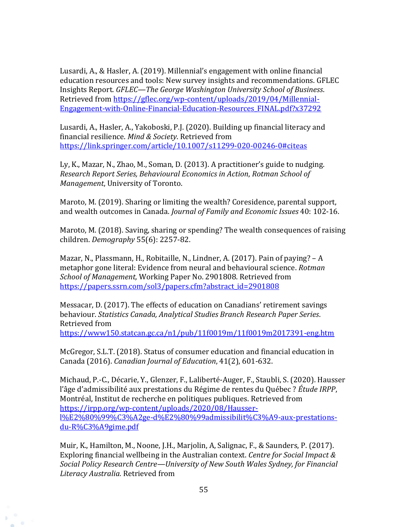Lusardi, A., & Hasler, A. (2019). Millennial's engagement with online financial education resources and tools: New survey insights and recommendations. GFLEC Insights Report. *GFLEC—The George Washington University School of Business*. Retrieved from [https://gflec.org/wp-content/uploads/2019/04/Millennial-](https://gflec.org/wp-content/uploads/2019/04/Millennial-Engagement-with-Online-Financial-Education-Resources_FINAL.pdf?x37292)[Engagement-with-Online-Financial-Education-Resources\\_FINAL.pdf?x37292](https://gflec.org/wp-content/uploads/2019/04/Millennial-Engagement-with-Online-Financial-Education-Resources_FINAL.pdf?x37292)

Lusardi, A., Hasler, A., Yakoboski, P.J. (2020). Building up financial literacy and financial resilience. *Mind & Society*. Retrieved from <https://link.springer.com/article/10.1007/s11299-020-00246-0#citeas>

Ly, K., Mazar, N., Zhao, M., Soman, D. (2013). A practitioner's guide to nudging. *Research Report Series, Behavioural Economics in Action*, *Rotman School of Management*, University of Toronto.

Maroto, M. (2019). Sharing or limiting the wealth? Coresidence, parental support, and wealth outcomes in Canada. *Journal of Family and Economic Issues* 40: 102-16.

Maroto, M. (2018). Saving, sharing or spending? The wealth consequences of raising children. *Demography* 55(6): 2257-82.

Mazar, N., Plassmann, H., Robitaille, N., Lindner, A. (2017). Pain of paying? – A metaphor gone literal: Evidence from neural and behavioural science. *Rotman School of Management,* Working Paper No. 2901808. Retrieved from [https://papers.ssrn.com/sol3/papers.cfm?abstract\\_id=2901808](https://papers.ssrn.com/sol3/papers.cfm?abstract_id=2901808)

Messacar, D. (2017). The effects of education on Canadians' retirement savings behaviour. *Statistics Canada, Analytical Studies Branch Research Paper Series*. Retrieved from

<https://www150.statcan.gc.ca/n1/pub/11f0019m/11f0019m2017391-eng.htm>

McGregor, S.L.T. (2018). Status of consumer education and financial education in Canada (2016). *Canadian Journal of Education*, 41(2), 601-632.

Michaud, P.-C., Décarie, Y., Glenzer, F., Laliberté-Auger, F., Staubli, S. (2020). Hausser l'âge d'admissibilité aux prestations du Régime de rentes du Québec ? *Étude IRPP*, Montréal, Institut de recherche en politiques publiques. Retrieved from [https://irpp.org/wp-content/uploads/2020/08/Hausser](https://irpp.org/wp-content/uploads/2020/08/Hausser-l%E2%80%99%C3%A2ge-d%E2%80%99admissibilit%C3%A9-aux-prestations-du-R%C3%A9gime.pdf)[l%E2%80%99%C3%A2ge-d%E2%80%99admissibilit%C3%A9-aux-prestations](https://irpp.org/wp-content/uploads/2020/08/Hausser-l%E2%80%99%C3%A2ge-d%E2%80%99admissibilit%C3%A9-aux-prestations-du-R%C3%A9gime.pdf)[du-R%C3%A9gime.pdf](https://irpp.org/wp-content/uploads/2020/08/Hausser-l%E2%80%99%C3%A2ge-d%E2%80%99admissibilit%C3%A9-aux-prestations-du-R%C3%A9gime.pdf)

Muir, K., Hamilton, M., Noone, J.H., Marjolin, A, Salignac, F., & Saunders, P. (2017). Exploring financial wellbeing in the Australian context. *Centre for Social Impact & Social Policy Research Centre—University of New South Wales Sydney, for Financial Literacy Australia.* Retrieved from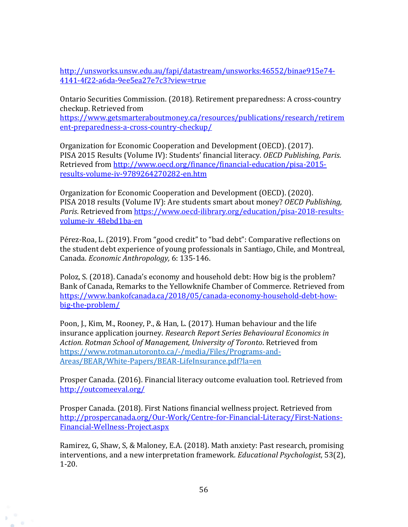[http://unsworks.unsw.edu.au/fapi/datastream/unsworks:46552/binae915e74-](http://unsworks.unsw.edu.au/fapi/datastream/unsworks:46552/binae915e74-4141-4f22-a6da-9ee5ea27e7c3?view=true) [4141-4f22-a6da-9ee5ea27e7c3?view=true](http://unsworks.unsw.edu.au/fapi/datastream/unsworks:46552/binae915e74-4141-4f22-a6da-9ee5ea27e7c3?view=true)

Ontario Securities Commission. (2018). Retirement preparedness: A cross-country checkup. Retrieved from

[https://www.getsmarteraboutmoney.ca/resources/publications/research/retirem](https://www.getsmarteraboutmoney.ca/resources/publications/research/retirement-preparedness-a-cross-country-checkup/) [ent-preparedness-a-cross-country-checkup/](https://www.getsmarteraboutmoney.ca/resources/publications/research/retirement-preparedness-a-cross-country-checkup/)

Organization for Economic Cooperation and Development (OECD). (2017). PISA 2015 Results (Volume IV): Students' financial literacy. *OECD Publishing, Paris*. Retrieved from [http://www.oecd.org/finance/financial-education/pisa-2015](http://www.oecd.org/finance/financial-education/pisa-2015-results-volume-iv-9789264270282-en.htm) [results-volume-iv-9789264270282-en.htm](http://www.oecd.org/finance/financial-education/pisa-2015-results-volume-iv-9789264270282-en.htm)

Organization for Economic Cooperation and Development (OECD). (2020). PISA 2018 results (Volume IV): Are students smart about money? *OECD Publishing, Paris*. Retrieved from [https://www.oecd-ilibrary.org/education/pisa-2018-results](https://www.oecd-ilibrary.org/education/pisa-2018-results-volume-iv_48ebd1ba-en)[volume-iv\\_48ebd1ba-en](https://www.oecd-ilibrary.org/education/pisa-2018-results-volume-iv_48ebd1ba-en)

Pérez-Roa, L. (2019). From "good credit" to "bad debt": Comparative reflections on the student debt experience of young professionals in Santiago, Chile, and Montreal, Canada. *Economic Anthropology,* 6: 135-146.

Poloz, S. (2018). Canada's economy and household debt: How big is the problem? Bank of Canada, Remarks to the Yellowknife Chamber of Commerce. Retrieved from [https://www.bankofcanada.ca/2018/05/canada-economy-household-debt-how](https://www.bankofcanada.ca/2018/05/canada-economy-household-debt-how-big-the-problem/)[big-the-problem/](https://www.bankofcanada.ca/2018/05/canada-economy-household-debt-how-big-the-problem/)

Poon, J., Kim, M., Rooney, P., & Han, L. (2017). Human behaviour and the life insurance application journey. *Research Report Series Behavioural Economics in Action. Rotman School of Management, University of Toronto*. Retrieved from [https://www.rotman.utoronto.ca/-/media/Files/Programs-and-](https://www.rotman.utoronto.ca/-/media/Files/Programs-and-Areas/BEAR/White-Papers/BEAR-LifeInsurance.pdf?la=en)[Areas/BEAR/White-Papers/BEAR-LifeInsurance.pdf?la=en](https://www.rotman.utoronto.ca/-/media/Files/Programs-and-Areas/BEAR/White-Papers/BEAR-LifeInsurance.pdf?la=en) 

Prosper Canada. (2016). Financial literacy outcome evaluation tool. Retrieved from <http://outcomeeval.org/>

Prosper Canada. (2018). First Nations financial wellness project. Retrieved from [http://prospercanada.org/Our-Work/Centre-for-Financial-Literacy/First-Nations-](http://prospercanada.org/Our-Work/Centre-for-Financial-Literacy/First-Nations-Financial-Wellness-Project.aspx)[Financial-Wellness-Project.aspx](http://prospercanada.org/Our-Work/Centre-for-Financial-Literacy/First-Nations-Financial-Wellness-Project.aspx)

Ramirez, G, Shaw, S, & Maloney, E.A. (2018). Math anxiety: Past research, promising interventions, and a new interpretation framework. *Educational Psychologist*, 53(2), 1-20.

 $65$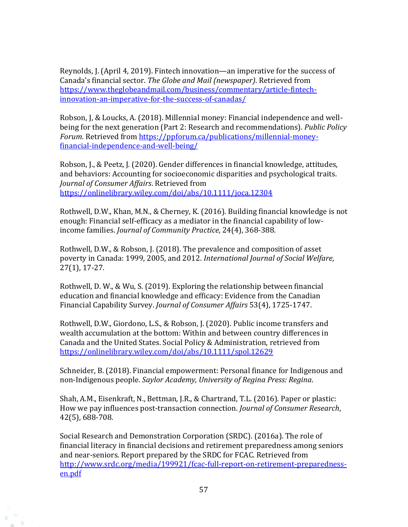Reynolds, J. (April 4, 2019). Fintech innovation—an imperative for the success of Canada's financial sector. *The Globe and Mail (newspaper)*. Retrieved from [https://www.theglobeandmail.com/business/commentary/article-fintech](https://www.theglobeandmail.com/business/commentary/article-fintech-innovation-an-imperative-for-the-success-of-canadas/)[innovation-an-imperative-for-the-success-of-canadas/](https://www.theglobeandmail.com/business/commentary/article-fintech-innovation-an-imperative-for-the-success-of-canadas/)

Robson, J, & Loucks, A. (2018). Millennial money: Financial independence and wellbeing for the next generation (Part 2: Research and recommendations). *Public Policy Forum*. Retrieved fro[m https://ppforum.ca/publications/millennial-money](https://ppforum.ca/publications/millennial-money-financial-independence-and-well-being/)[financial-independence-and-well-being/](https://ppforum.ca/publications/millennial-money-financial-independence-and-well-being/) 

Robson, J., & Peetz, J. (2020). Gender differences in financial knowledge, attitudes, and behaviors: Accounting for socioeconomic disparities and psychological traits. *Journal of Consumer Affairs*. Retrieved from <https://onlinelibrary.wiley.com/doi/abs/10.1111/joca.12304>

Rothwell, D.W., Khan, M.N., & Cherney, K. (2016). Building financial knowledge is not enough: Financial self-efficacy as a mediator in the financial capability of lowincome families. *Journal of Community Practice*, 24(4), 368-388.

Rothwell, D.W., & Robson, J. (2018). The prevalence and composition of asset poverty in Canada: 1999, 2005, and 2012. *International Journal of Social Welfare*, 27(1), 17-27.

Rothwell, D. W., & Wu, S. (2019). Exploring the relationship between financial education and financial knowledge and efficacy: Evidence from the Canadian Financial Capability Survey. *Journal of Consumer Affairs* 53(4), 1725-1747.

Rothwell, D.W., Giordono, L.S., & Robson, J. (2020). Public income transfers and wealth accumulation at the bottom: Within and between country differences in Canada and the United States. Social Policy & Administration, retrieved from <https://onlinelibrary.wiley.com/doi/abs/10.1111/spol.12629>

Schneider, B. (2018). Financial empowerment: Personal finance for Indigenous and non-Indigenous people. *Saylor Academy, University of Regina Press: Regina*.

Shah, A.M., Eisenkraft, N., Bettman, J.R., & Chartrand, T.L. (2016). Paper or plastic: How we pay influences post-transaction connection. *Journal of Consumer Research*, 42(5), 688-708.

Social Research and Demonstration Corporation (SRDC). (2016a). The role of financial literacy in financial decisions and retirement preparedness among seniors and near-seniors. Report prepared by the SRDC for FCAC. Retrieved from [http://www.srdc.org/media/199921/fcac-full-report-on-retirement-preparedness](http://www.srdc.org/media/199921/fcac-full-report-on-retirement-preparedness-en.pdf)[en.pdf](http://www.srdc.org/media/199921/fcac-full-report-on-retirement-preparedness-en.pdf) 

 $65$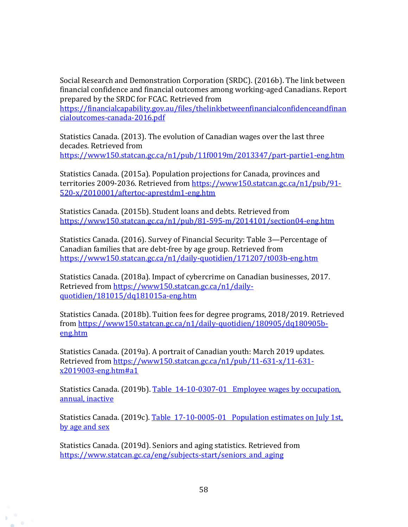Social Research and Demonstration Corporation (SRDC). (2016b). The link between financial confidence and financial outcomes among working-aged Canadians. Report prepared by the SRDC for FCAC. Retrieved from

[https://financialcapability.gov.au/files/thelinkbetweenfinancialconfidenceandfinan](https://financialcapability.gov.au/files/thelinkbetweenfinancialconfidenceandfinancialoutcomes-canada-2016.pdf) [cialoutcomes-canada-2016.pdf](https://financialcapability.gov.au/files/thelinkbetweenfinancialconfidenceandfinancialoutcomes-canada-2016.pdf)

Statistics Canada. (2013). The evolution of Canadian wages over the last three decades. Retrieved from <https://www150.statcan.gc.ca/n1/pub/11f0019m/2013347/part-partie1-eng.htm>

Statistics Canada. (2015a). Population projections for Canada, provinces and territories 2009-2036. Retrieved from [https://www150.statcan.gc.ca/n1/pub/91-](https://www150.statcan.gc.ca/n1/pub/91-520-x/2010001/aftertoc-aprestdm1-eng.htm) [520-x/2010001/aftertoc-aprestdm1-eng.htm](https://www150.statcan.gc.ca/n1/pub/91-520-x/2010001/aftertoc-aprestdm1-eng.htm) 

Statistics Canada. (2015b). Student loans and debts. Retrieved from <https://www150.statcan.gc.ca/n1/pub/81-595-m/2014101/section04-eng.htm>

Statistics Canada. (2016). Survey of Financial Security: Table 3—Percentage of Canadian families that are debt-free by age group. Retrieved from <https://www150.statcan.gc.ca/n1/daily-quotidien/171207/t003b-eng.htm>

Statistics Canada. (2018a). Impact of cybercrime on Canadian businesses, 2017. Retrieved from [https://www150.statcan.gc.ca/n1/daily](https://www150.statcan.gc.ca/n1/daily-quotidien/181015/dq181015a-eng.htm)[quotidien/181015/dq181015a-eng.htm](https://www150.statcan.gc.ca/n1/daily-quotidien/181015/dq181015a-eng.htm)

Statistics Canada. (2018b). Tuition fees for degree programs, 2018/2019. Retrieved from [https://www150.statcan.gc.ca/n1/daily-quotidien/180905/dq180905b](https://www150.statcan.gc.ca/n1/daily-quotidien/180905/dq180905b-eng.htm)[eng.htm](https://www150.statcan.gc.ca/n1/daily-quotidien/180905/dq180905b-eng.htm)

Statistics Canada. (2019a). A portrait of Canadian youth: March 2019 updates. Retrieved from [https://www150.statcan.gc.ca/n1/pub/11-631-x/11-631](https://www150.statcan.gc.ca/n1/pub/11-631-x/11-631-x2019003-eng.htm#a1) [x2019003-eng.htm#a1](https://www150.statcan.gc.ca/n1/pub/11-631-x/11-631-x2019003-eng.htm#a1)

Statistics Canada. (2019b). Table [14-10-0307-01 Employee wages by occupation,](https://www150.statcan.gc.ca/t1/tbl1/en/tv.action?pid=1410030701)  [annual, inactive](https://www150.statcan.gc.ca/t1/tbl1/en/tv.action?pid=1410030701)

Statistics Canada. (2019c). Table 17-10-0005-01 Population estimates on July 1st, [by age and sex](https://www150.statcan.gc.ca/t1/tbl1/en/tv.action?pid=1710000501)

Statistics Canada. (2019d). Seniors and aging statistics. Retrieved from https://www.statcan.gc.ca/eng/subjects-start/seniors and aging

 $\circ$